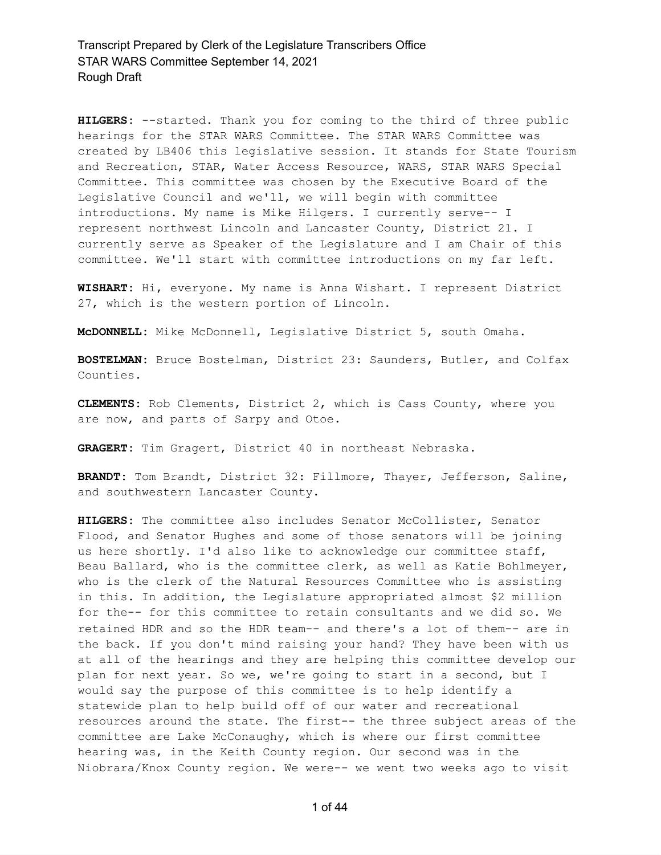**HILGERS:** --started. Thank you for coming to the third of three public hearings for the STAR WARS Committee. The STAR WARS Committee was created by LB406 this legislative session. It stands for State Tourism and Recreation, STAR, Water Access Resource, WARS, STAR WARS Special Committee. This committee was chosen by the Executive Board of the Legislative Council and we'll, we will begin with committee introductions. My name is Mike Hilgers. I currently serve-- I represent northwest Lincoln and Lancaster County, District 21. I currently serve as Speaker of the Legislature and I am Chair of this committee. We'll start with committee introductions on my far left.

**WISHART:** Hi, everyone. My name is Anna Wishart. I represent District 27, which is the western portion of Lincoln.

**McDONNELL:** Mike McDonnell, Legislative District 5, south Omaha.

**BOSTELMAN:** Bruce Bostelman, District 23: Saunders, Butler, and Colfax Counties.

**CLEMENTS:** Rob Clements, District 2, which is Cass County, where you are now, and parts of Sarpy and Otoe.

**GRAGERT:** Tim Gragert, District 40 in northeast Nebraska.

**BRANDT:** Tom Brandt, District 32: Fillmore, Thayer, Jefferson, Saline, and southwestern Lancaster County.

**HILGERS:** The committee also includes Senator McCollister, Senator Flood, and Senator Hughes and some of those senators will be joining us here shortly. I'd also like to acknowledge our committee staff, Beau Ballard, who is the committee clerk, as well as Katie Bohlmeyer, who is the clerk of the Natural Resources Committee who is assisting in this. In addition, the Legislature appropriated almost \$2 million for the-- for this committee to retain consultants and we did so. We retained HDR and so the HDR team-- and there's a lot of them-- are in the back. If you don't mind raising your hand? They have been with us at all of the hearings and they are helping this committee develop our plan for next year. So we, we're going to start in a second, but I would say the purpose of this committee is to help identify a statewide plan to help build off of our water and recreational resources around the state. The first-- the three subject areas of the committee are Lake McConaughy, which is where our first committee hearing was, in the Keith County region. Our second was in the Niobrara/Knox County region. We were-- we went two weeks ago to visit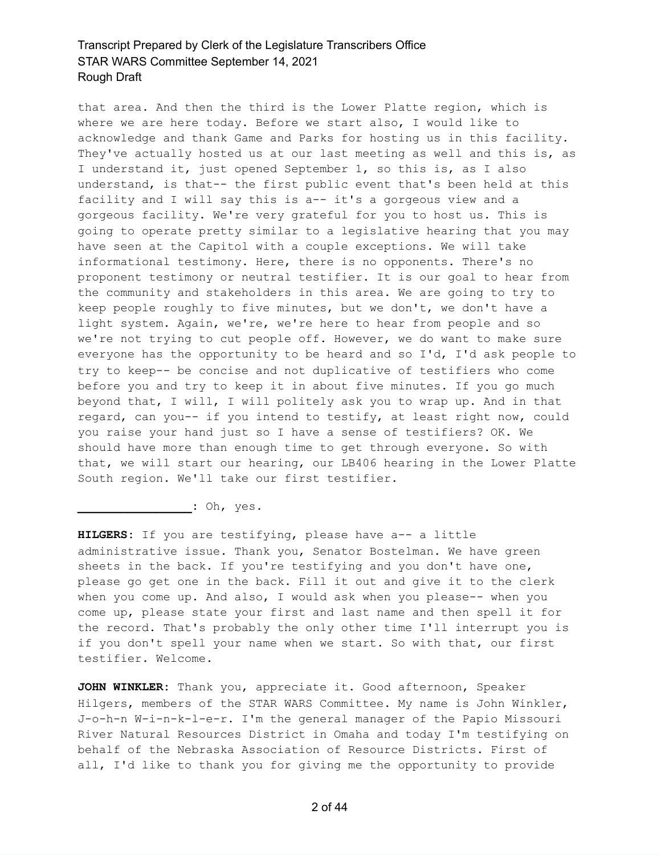that area. And then the third is the Lower Platte region, which is where we are here today. Before we start also, I would like to acknowledge and thank Game and Parks for hosting us in this facility. They've actually hosted us at our last meeting as well and this is, as I understand it, just opened September 1, so this is, as I also understand, is that-- the first public event that's been held at this facility and I will say this is a-- it's a gorgeous view and a gorgeous facility. We're very grateful for you to host us. This is going to operate pretty similar to a legislative hearing that you may have seen at the Capitol with a couple exceptions. We will take informational testimony. Here, there is no opponents. There's no proponent testimony or neutral testifier. It is our goal to hear from the community and stakeholders in this area. We are going to try to keep people roughly to five minutes, but we don't, we don't have a light system. Again, we're, we're here to hear from people and so we're not trying to cut people off. However, we do want to make sure everyone has the opportunity to be heard and so I'd, I'd ask people to try to keep-- be concise and not duplicative of testifiers who come before you and try to keep it in about five minutes. If you go much beyond that, I will, I will politely ask you to wrap up. And in that regard, can you-- if you intend to testify, at least right now, could you raise your hand just so I have a sense of testifiers? OK. We should have more than enough time to get through everyone. So with that, we will start our hearing, our LB406 hearing in the Lower Platte South region. We'll take our first testifier.

**\_\_\_\_\_\_\_\_\_\_\_\_\_\_\_\_:** Oh, yes.

**HILGERS:** If you are testifying, please have a-- a little administrative issue. Thank you, Senator Bostelman. We have green sheets in the back. If you're testifying and you don't have one, please go get one in the back. Fill it out and give it to the clerk when you come up. And also, I would ask when you please-- when you come up, please state your first and last name and then spell it for the record. That's probably the only other time I'll interrupt you is if you don't spell your name when we start. So with that, our first testifier. Welcome.

**JOHN WINKLER:** Thank you, appreciate it. Good afternoon, Speaker Hilgers, members of the STAR WARS Committee. My name is John Winkler, J-o-h-n W-i-n-k-l-e-r. I'm the general manager of the Papio Missouri River Natural Resources District in Omaha and today I'm testifying on behalf of the Nebraska Association of Resource Districts. First of all, I'd like to thank you for giving me the opportunity to provide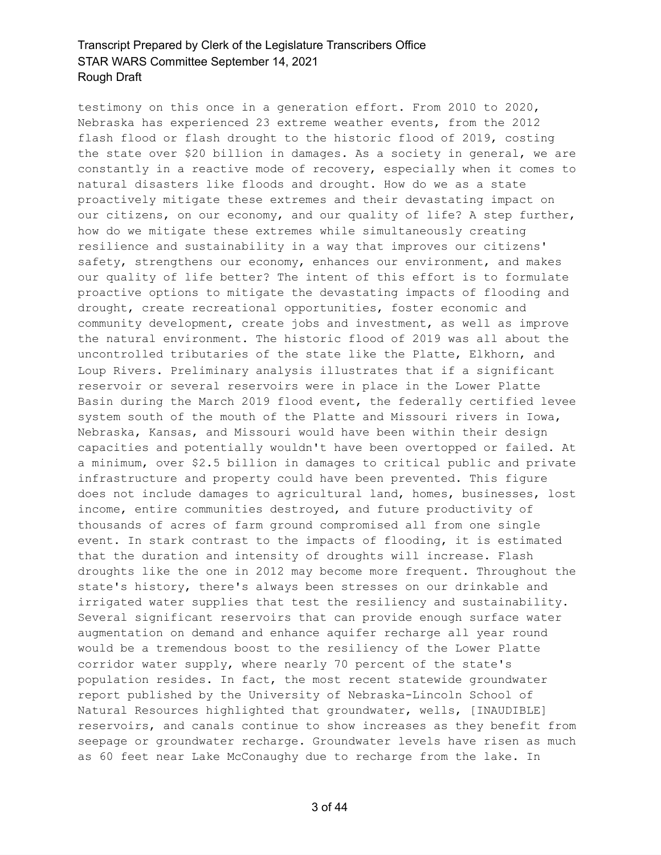testimony on this once in a generation effort. From 2010 to 2020, Nebraska has experienced 23 extreme weather events, from the 2012 flash flood or flash drought to the historic flood of 2019, costing the state over \$20 billion in damages. As a society in general, we are constantly in a reactive mode of recovery, especially when it comes to natural disasters like floods and drought. How do we as a state proactively mitigate these extremes and their devastating impact on our citizens, on our economy, and our quality of life? A step further, how do we mitigate these extremes while simultaneously creating resilience and sustainability in a way that improves our citizens' safety, strengthens our economy, enhances our environment, and makes our quality of life better? The intent of this effort is to formulate proactive options to mitigate the devastating impacts of flooding and drought, create recreational opportunities, foster economic and community development, create jobs and investment, as well as improve the natural environment. The historic flood of 2019 was all about the uncontrolled tributaries of the state like the Platte, Elkhorn, and Loup Rivers. Preliminary analysis illustrates that if a significant reservoir or several reservoirs were in place in the Lower Platte Basin during the March 2019 flood event, the federally certified levee system south of the mouth of the Platte and Missouri rivers in Iowa, Nebraska, Kansas, and Missouri would have been within their design capacities and potentially wouldn't have been overtopped or failed. At a minimum, over \$2.5 billion in damages to critical public and private infrastructure and property could have been prevented. This figure does not include damages to agricultural land, homes, businesses, lost income, entire communities destroyed, and future productivity of thousands of acres of farm ground compromised all from one single event. In stark contrast to the impacts of flooding, it is estimated that the duration and intensity of droughts will increase. Flash droughts like the one in 2012 may become more frequent. Throughout the state's history, there's always been stresses on our drinkable and irrigated water supplies that test the resiliency and sustainability. Several significant reservoirs that can provide enough surface water augmentation on demand and enhance aquifer recharge all year round would be a tremendous boost to the resiliency of the Lower Platte corridor water supply, where nearly 70 percent of the state's population resides. In fact, the most recent statewide groundwater report published by the University of Nebraska-Lincoln School of Natural Resources highlighted that groundwater, wells, [INAUDIBLE] reservoirs, and canals continue to show increases as they benefit from seepage or groundwater recharge. Groundwater levels have risen as much as 60 feet near Lake McConaughy due to recharge from the lake. In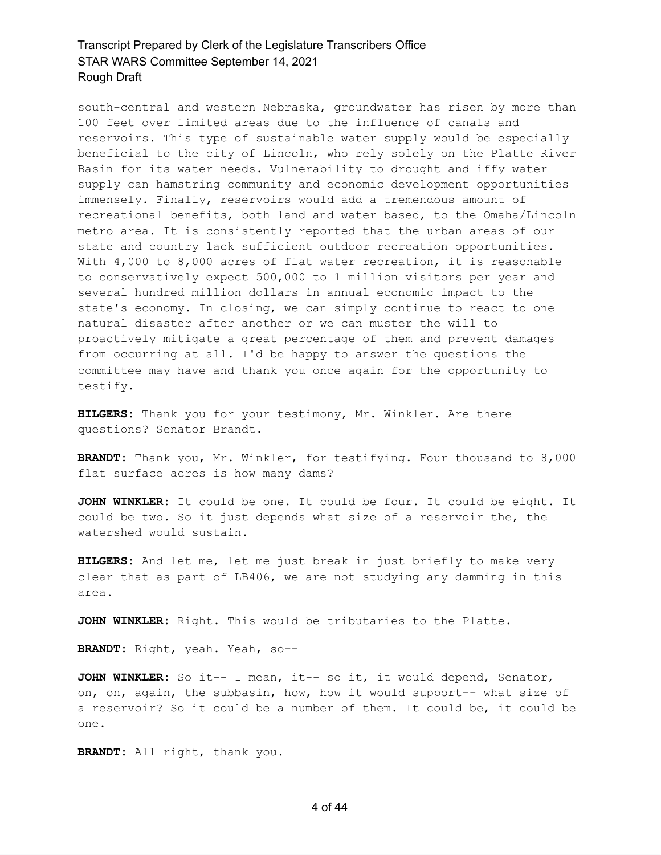south-central and western Nebraska, groundwater has risen by more than 100 feet over limited areas due to the influence of canals and reservoirs. This type of sustainable water supply would be especially beneficial to the city of Lincoln, who rely solely on the Platte River Basin for its water needs. Vulnerability to drought and iffy water supply can hamstring community and economic development opportunities immensely. Finally, reservoirs would add a tremendous amount of recreational benefits, both land and water based, to the Omaha/Lincoln metro area. It is consistently reported that the urban areas of our state and country lack sufficient outdoor recreation opportunities. With 4,000 to 8,000 acres of flat water recreation, it is reasonable to conservatively expect 500,000 to 1 million visitors per year and several hundred million dollars in annual economic impact to the state's economy. In closing, we can simply continue to react to one natural disaster after another or we can muster the will to proactively mitigate a great percentage of them and prevent damages from occurring at all. I'd be happy to answer the questions the committee may have and thank you once again for the opportunity to testify.

**HILGERS:** Thank you for your testimony, Mr. Winkler. Are there questions? Senator Brandt.

**BRANDT:** Thank you, Mr. Winkler, for testifying. Four thousand to 8,000 flat surface acres is how many dams?

**JOHN WINKLER:** It could be one. It could be four. It could be eight. It could be two. So it just depends what size of a reservoir the, the watershed would sustain.

**HILGERS:** And let me, let me just break in just briefly to make very clear that as part of LB406, we are not studying any damming in this area.

**JOHN WINKLER:** Right. This would be tributaries to the Platte.

**BRANDT:** Right, yeah. Yeah, so--

**JOHN WINKLER:** So it-- I mean, it-- so it, it would depend, Senator, on, on, again, the subbasin, how, how it would support-- what size of a reservoir? So it could be a number of them. It could be, it could be one.

**BRANDT:** All right, thank you.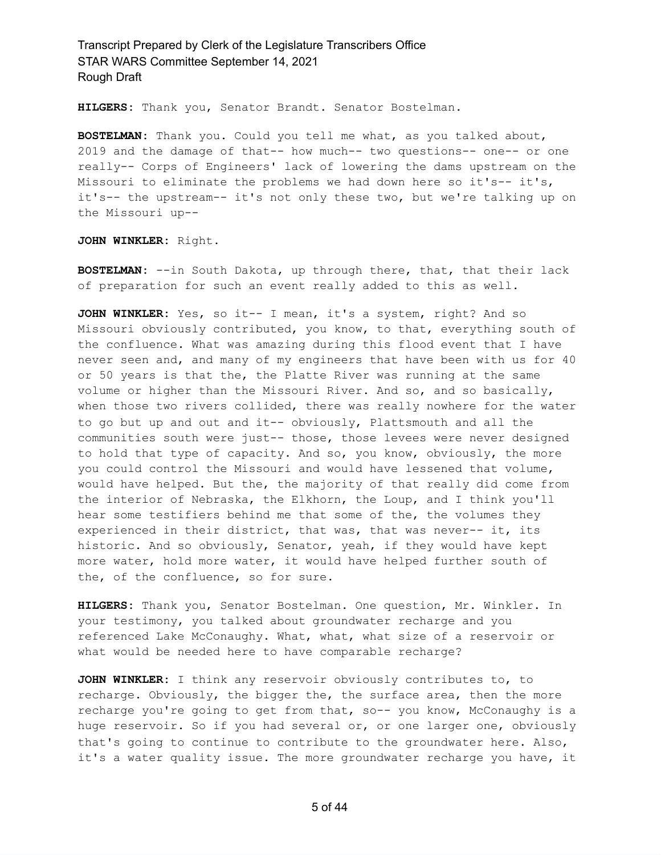**HILGERS:** Thank you, Senator Brandt. Senator Bostelman.

**BOSTELMAN:** Thank you. Could you tell me what, as you talked about, 2019 and the damage of that-- how much-- two questions-- one-- or one really-- Corps of Engineers' lack of lowering the dams upstream on the Missouri to eliminate the problems we had down here so it's-- it's, it's-- the upstream-- it's not only these two, but we're talking up on the Missouri up--

**JOHN WINKLER:** Right.

**BOSTELMAN:** --in South Dakota, up through there, that, that their lack of preparation for such an event really added to this as well.

**JOHN WINKLER:** Yes, so it-- I mean, it's a system, right? And so Missouri obviously contributed, you know, to that, everything south of the confluence. What was amazing during this flood event that I have never seen and, and many of my engineers that have been with us for 40 or 50 years is that the, the Platte River was running at the same volume or higher than the Missouri River. And so, and so basically, when those two rivers collided, there was really nowhere for the water to go but up and out and it-- obviously, Plattsmouth and all the communities south were just-- those, those levees were never designed to hold that type of capacity. And so, you know, obviously, the more you could control the Missouri and would have lessened that volume, would have helped. But the, the majority of that really did come from the interior of Nebraska, the Elkhorn, the Loup, and I think you'll hear some testifiers behind me that some of the, the volumes they experienced in their district, that was, that was never-- it, its historic. And so obviously, Senator, yeah, if they would have kept more water, hold more water, it would have helped further south of the, of the confluence, so for sure.

**HILGERS:** Thank you, Senator Bostelman. One question, Mr. Winkler. In your testimony, you talked about groundwater recharge and you referenced Lake McConaughy. What, what, what size of a reservoir or what would be needed here to have comparable recharge?

**JOHN WINKLER:** I think any reservoir obviously contributes to, to recharge. Obviously, the bigger the, the surface area, then the more recharge you're going to get from that, so-- you know, McConaughy is a huge reservoir. So if you had several or, or one larger one, obviously that's going to continue to contribute to the groundwater here. Also, it's a water quality issue. The more groundwater recharge you have, it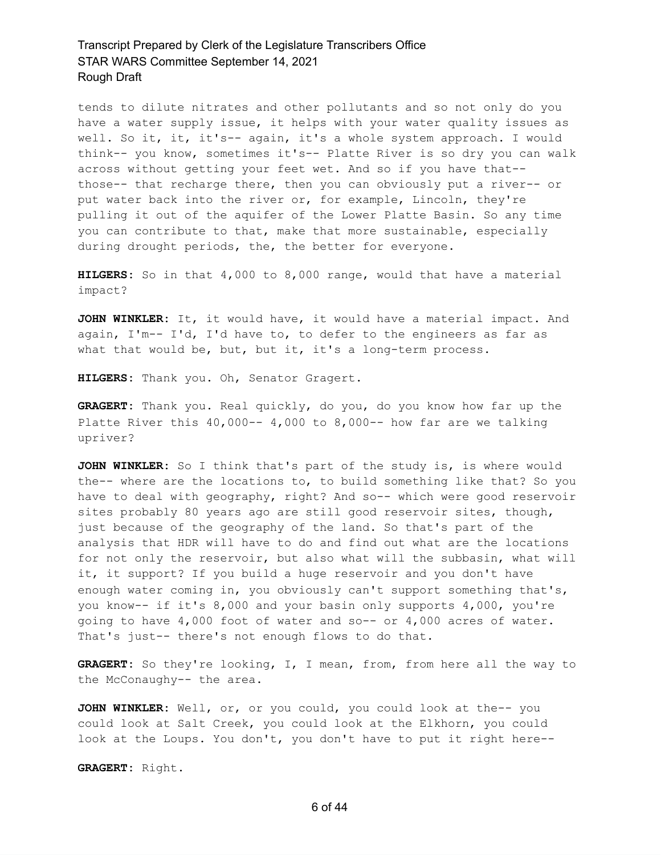tends to dilute nitrates and other pollutants and so not only do you have a water supply issue, it helps with your water quality issues as well. So it, it, it's-- again, it's a whole system approach. I would think-- you know, sometimes it's-- Platte River is so dry you can walk across without getting your feet wet. And so if you have that- those-- that recharge there, then you can obviously put a river-- or put water back into the river or, for example, Lincoln, they're pulling it out of the aquifer of the Lower Platte Basin. So any time you can contribute to that, make that more sustainable, especially during drought periods, the, the better for everyone.

**HILGERS:** So in that 4,000 to 8,000 range, would that have a material impact?

**JOHN WINKLER:** It, it would have, it would have a material impact. And again, I'm-- I'd, I'd have to, to defer to the engineers as far as what that would be, but, but it, it's a long-term process.

**HILGERS:** Thank you. Oh, Senator Gragert.

**GRAGERT:** Thank you. Real quickly, do you, do you know how far up the Platte River this  $40,000- 4,000$  to  $8,000--$  how far are we talking upriver?

**JOHN WINKLER:** So I think that's part of the study is, is where would the-- where are the locations to, to build something like that? So you have to deal with geography, right? And so-- which were good reservoir sites probably 80 years ago are still good reservoir sites, though, just because of the geography of the land. So that's part of the analysis that HDR will have to do and find out what are the locations for not only the reservoir, but also what will the subbasin, what will it, it support? If you build a huge reservoir and you don't have enough water coming in, you obviously can't support something that's, you know-- if it's 8,000 and your basin only supports 4,000, you're going to have 4,000 foot of water and so-- or 4,000 acres of water. That's just-- there's not enough flows to do that.

**GRAGERT:** So they're looking, I, I mean, from, from here all the way to the McConaughy-- the area.

**JOHN WINKLER:** Well, or, or you could, you could look at the-- you could look at Salt Creek, you could look at the Elkhorn, you could look at the Loups. You don't, you don't have to put it right here--

**GRAGERT:** Right.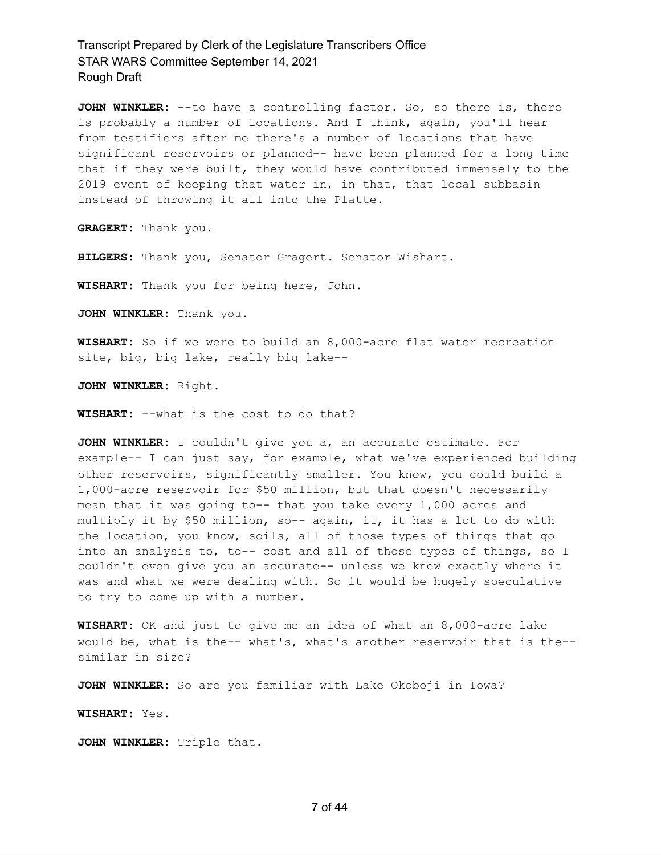**JOHN WINKLER:** --to have a controlling factor. So, so there is, there is probably a number of locations. And I think, again, you'll hear from testifiers after me there's a number of locations that have significant reservoirs or planned-- have been planned for a long time that if they were built, they would have contributed immensely to the 2019 event of keeping that water in, in that, that local subbasin instead of throwing it all into the Platte.

**GRAGERT:** Thank you.

**HILGERS:** Thank you, Senator Gragert. Senator Wishart.

**WISHART:** Thank you for being here, John.

**JOHN WINKLER:** Thank you.

**WISHART:** So if we were to build an 8,000-acre flat water recreation site, big, big lake, really big lake--

**JOHN WINKLER:** Right.

**WISHART:** --what is the cost to do that?

**JOHN WINKLER:** I couldn't give you a, an accurate estimate. For example-- I can just say, for example, what we've experienced building other reservoirs, significantly smaller. You know, you could build a 1,000-acre reservoir for \$50 million, but that doesn't necessarily mean that it was going to-- that you take every 1,000 acres and multiply it by \$50 million, so-- again, it, it has a lot to do with the location, you know, soils, all of those types of things that go into an analysis to, to-- cost and all of those types of things, so I couldn't even give you an accurate-- unless we knew exactly where it was and what we were dealing with. So it would be hugely speculative to try to come up with a number.

**WISHART:** OK and just to give me an idea of what an 8,000-acre lake would be, what is the-- what's, what's another reservoir that is the- similar in size?

**JOHN WINKLER:** So are you familiar with Lake Okoboji in Iowa?

**WISHART:** Yes.

**JOHN WINKLER:** Triple that.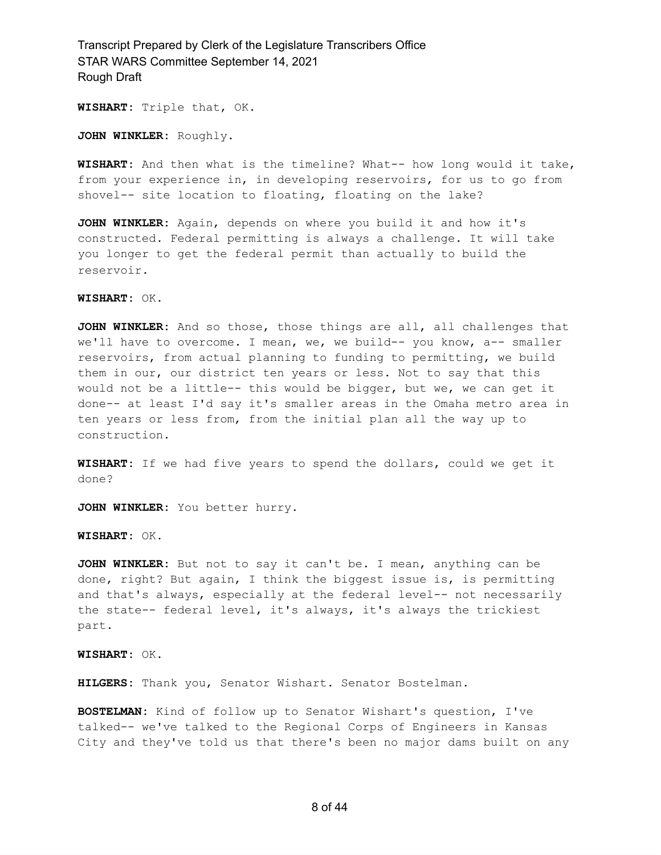**WISHART:** Triple that, OK.

**JOHN WINKLER:** Roughly.

**WISHART:** And then what is the timeline? What-- how long would it take, from your experience in, in developing reservoirs, for us to go from shovel-- site location to floating, floating on the lake?

**JOHN WINKLER:** Again, depends on where you build it and how it's constructed. Federal permitting is always a challenge. It will take you longer to get the federal permit than actually to build the reservoir.

**WISHART:** OK.

**JOHN WINKLER:** And so those, those things are all, all challenges that we'll have to overcome. I mean, we, we build-- you know, a-- smaller reservoirs, from actual planning to funding to permitting, we build them in our, our district ten years or less. Not to say that this would not be a little-- this would be bigger, but we, we can get it done-- at least I'd say it's smaller areas in the Omaha metro area in ten years or less from, from the initial plan all the way up to construction.

**WISHART:** If we had five years to spend the dollars, could we get it done?

**JOHN WINKLER:** You better hurry.

**WISHART:** OK.

**JOHN WINKLER:** But not to say it can't be. I mean, anything can be done, right? But again, I think the biggest issue is, is permitting and that's always, especially at the federal level-- not necessarily the state-- federal level, it's always, it's always the trickiest part.

**WISHART:** OK.

**HILGERS:** Thank you, Senator Wishart. Senator Bostelman.

**BOSTELMAN:** Kind of follow up to Senator Wishart's question, I've talked-- we've talked to the Regional Corps of Engineers in Kansas City and they've told us that there's been no major dams built on any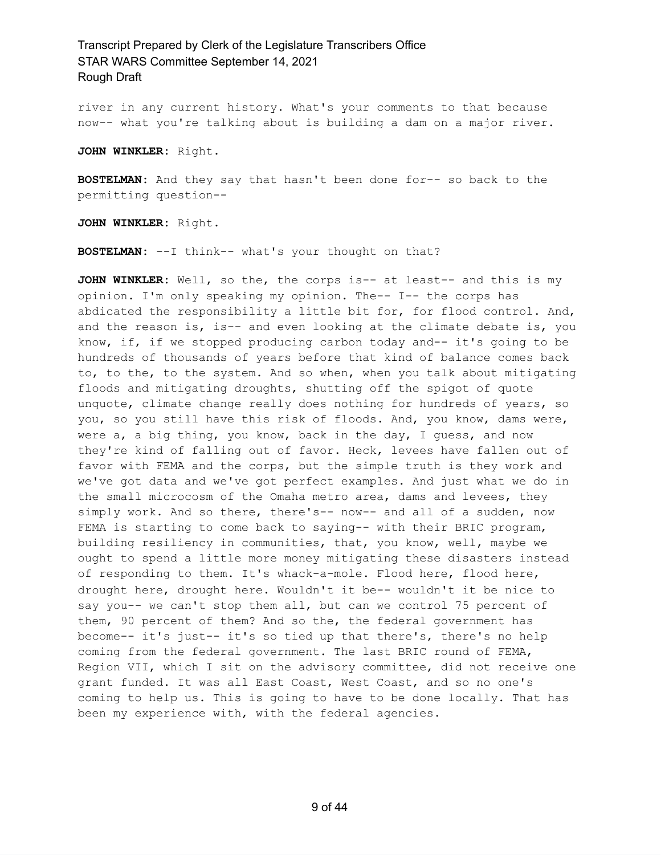river in any current history. What's your comments to that because now-- what you're talking about is building a dam on a major river.

**JOHN WINKLER:** Right.

**BOSTELMAN:** And they say that hasn't been done for-- so back to the permitting question--

**JOHN WINKLER:** Right.

**BOSTELMAN:** --I think-- what's your thought on that?

**JOHN WINKLER:** Well, so the, the corps is-- at least-- and this is my opinion. I'm only speaking my opinion. The-- I-- the corps has abdicated the responsibility a little bit for, for flood control. And, and the reason is, is-- and even looking at the climate debate is, you know, if, if we stopped producing carbon today and-- it's going to be hundreds of thousands of years before that kind of balance comes back to, to the, to the system. And so when, when you talk about mitigating floods and mitigating droughts, shutting off the spigot of quote unquote, climate change really does nothing for hundreds of years, so you, so you still have this risk of floods. And, you know, dams were, were a, a big thing, you know, back in the day, I guess, and now they're kind of falling out of favor. Heck, levees have fallen out of favor with FEMA and the corps, but the simple truth is they work and we've got data and we've got perfect examples. And just what we do in the small microcosm of the Omaha metro area, dams and levees, they simply work. And so there, there's-- now-- and all of a sudden, now FEMA is starting to come back to saying-- with their BRIC program, building resiliency in communities, that, you know, well, maybe we ought to spend a little more money mitigating these disasters instead of responding to them. It's whack-a-mole. Flood here, flood here, drought here, drought here. Wouldn't it be-- wouldn't it be nice to say you-- we can't stop them all, but can we control 75 percent of them, 90 percent of them? And so the, the federal government has become-- it's just-- it's so tied up that there's, there's no help coming from the federal government. The last BRIC round of FEMA, Region VII, which I sit on the advisory committee, did not receive one grant funded. It was all East Coast, West Coast, and so no one's coming to help us. This is going to have to be done locally. That has been my experience with, with the federal agencies.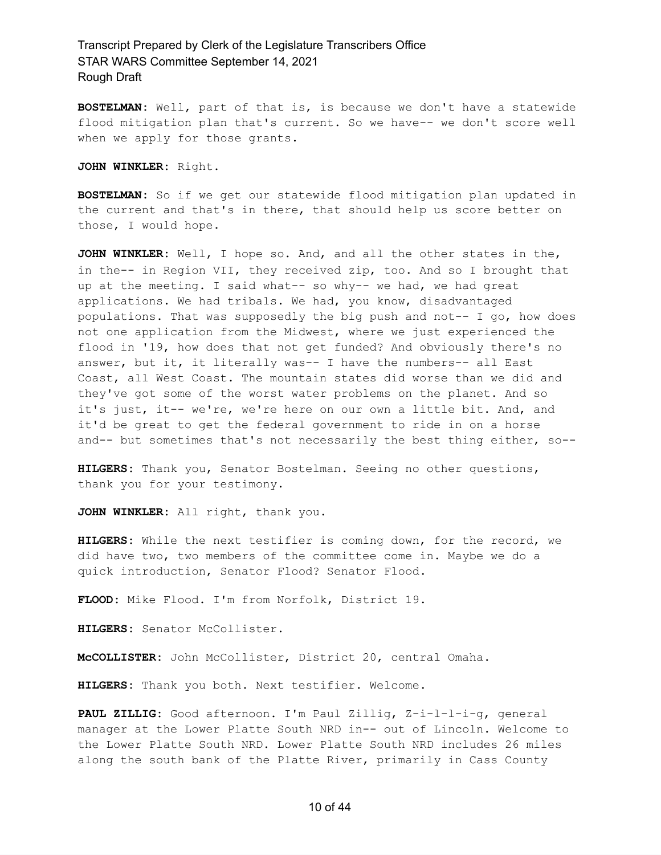**BOSTELMAN:** Well, part of that is, is because we don't have a statewide flood mitigation plan that's current. So we have-- we don't score well when we apply for those grants.

**JOHN WINKLER:** Right.

**BOSTELMAN:** So if we get our statewide flood mitigation plan updated in the current and that's in there, that should help us score better on those, I would hope.

**JOHN WINKLER:** Well, I hope so. And, and all the other states in the, in the-- in Region VII, they received zip, too. And so I brought that up at the meeting. I said what-- so why-- we had, we had great applications. We had tribals. We had, you know, disadvantaged populations. That was supposedly the big push and not-- I go, how does not one application from the Midwest, where we just experienced the flood in '19, how does that not get funded? And obviously there's no answer, but it, it literally was-- I have the numbers-- all East Coast, all West Coast. The mountain states did worse than we did and they've got some of the worst water problems on the planet. And so it's just, it-- we're, we're here on our own a little bit. And, and it'd be great to get the federal government to ride in on a horse and-- but sometimes that's not necessarily the best thing either, so--

**HILGERS:** Thank you, Senator Bostelman. Seeing no other questions, thank you for your testimony.

**JOHN WINKLER:** All right, thank you.

**HILGERS:** While the next testifier is coming down, for the record, we did have two, two members of the committee come in. Maybe we do a quick introduction, Senator Flood? Senator Flood.

**FLOOD:** Mike Flood. I'm from Norfolk, District 19.

**HILGERS:** Senator McCollister.

**McCOLLISTER:** John McCollister, District 20, central Omaha.

**HILGERS:** Thank you both. Next testifier. Welcome.

**PAUL ZILLIG:** Good afternoon. I'm Paul Zillig, Z-i-l-l-i-g, general manager at the Lower Platte South NRD in-- out of Lincoln. Welcome to the Lower Platte South NRD. Lower Platte South NRD includes 26 miles along the south bank of the Platte River, primarily in Cass County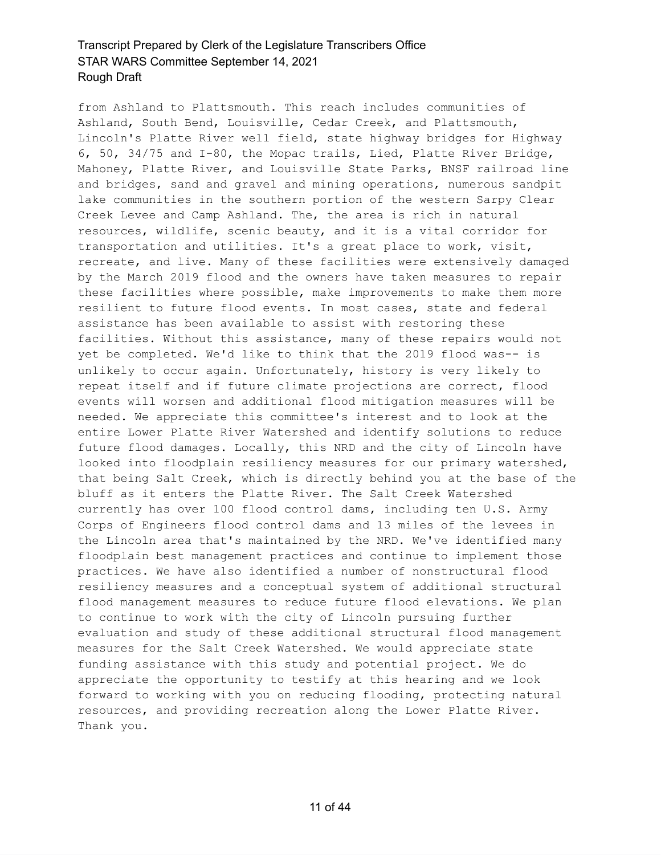from Ashland to Plattsmouth. This reach includes communities of Ashland, South Bend, Louisville, Cedar Creek, and Plattsmouth, Lincoln's Platte River well field, state highway bridges for Highway 6, 50, 34/75 and I-80, the Mopac trails, Lied, Platte River Bridge, Mahoney, Platte River, and Louisville State Parks, BNSF railroad line and bridges, sand and gravel and mining operations, numerous sandpit lake communities in the southern portion of the western Sarpy Clear Creek Levee and Camp Ashland. The, the area is rich in natural resources, wildlife, scenic beauty, and it is a vital corridor for transportation and utilities. It's a great place to work, visit, recreate, and live. Many of these facilities were extensively damaged by the March 2019 flood and the owners have taken measures to repair these facilities where possible, make improvements to make them more resilient to future flood events. In most cases, state and federal assistance has been available to assist with restoring these facilities. Without this assistance, many of these repairs would not yet be completed. We'd like to think that the 2019 flood was-- is unlikely to occur again. Unfortunately, history is very likely to repeat itself and if future climate projections are correct, flood events will worsen and additional flood mitigation measures will be needed. We appreciate this committee's interest and to look at the entire Lower Platte River Watershed and identify solutions to reduce future flood damages. Locally, this NRD and the city of Lincoln have looked into floodplain resiliency measures for our primary watershed, that being Salt Creek, which is directly behind you at the base of the bluff as it enters the Platte River. The Salt Creek Watershed currently has over 100 flood control dams, including ten U.S. Army Corps of Engineers flood control dams and 13 miles of the levees in the Lincoln area that's maintained by the NRD. We've identified many floodplain best management practices and continue to implement those practices. We have also identified a number of nonstructural flood resiliency measures and a conceptual system of additional structural flood management measures to reduce future flood elevations. We plan to continue to work with the city of Lincoln pursuing further evaluation and study of these additional structural flood management measures for the Salt Creek Watershed. We would appreciate state funding assistance with this study and potential project. We do appreciate the opportunity to testify at this hearing and we look forward to working with you on reducing flooding, protecting natural resources, and providing recreation along the Lower Platte River. Thank you.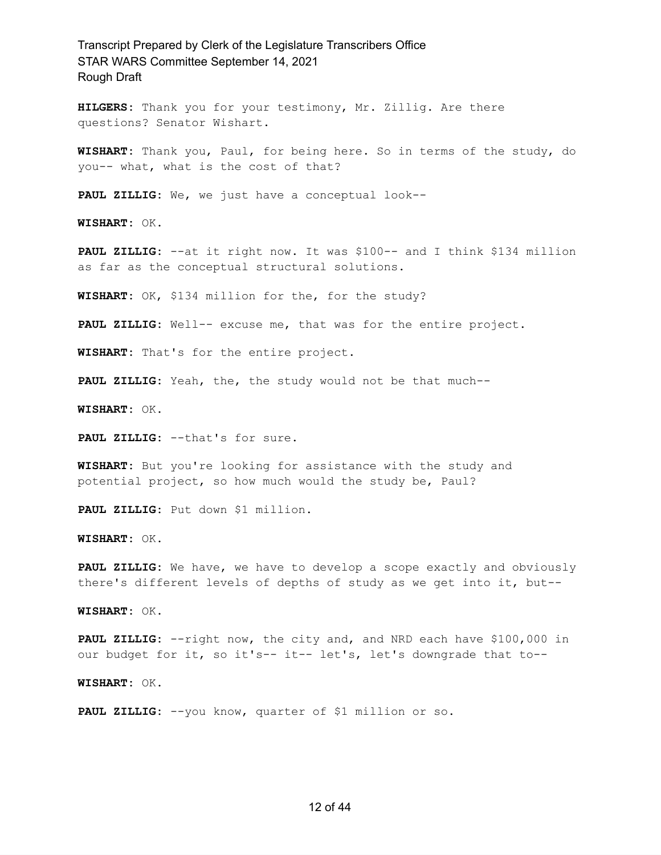**HILGERS:** Thank you for your testimony, Mr. Zillig. Are there questions? Senator Wishart.

**WISHART:** Thank you, Paul, for being here. So in terms of the study, do you-- what, what is the cost of that?

**PAUL ZILLIG:** We, we just have a conceptual look--

**WISHART:** OK.

**PAUL ZILLIG:** --at it right now. It was \$100-- and I think \$134 million as far as the conceptual structural solutions.

**WISHART:** OK, \$134 million for the, for the study?

**PAUL ZILLIG:** Well-- excuse me, that was for the entire project.

**WISHART:** That's for the entire project.

**PAUL ZILLIG:** Yeah, the, the study would not be that much--

**WISHART:** OK.

**PAUL ZILLIG:** --that's for sure.

**WISHART:** But you're looking for assistance with the study and potential project, so how much would the study be, Paul?

**PAUL ZILLIG:** Put down \$1 million.

**WISHART:** OK.

**PAUL ZILLIG:** We have, we have to develop a scope exactly and obviously there's different levels of depths of study as we get into it, but--

**WISHART:** OK.

**PAUL ZILLIG:** --right now, the city and, and NRD each have \$100,000 in our budget for it, so it's-- it-- let's, let's downgrade that to--

**WISHART:** OK.

**PAUL ZILLIG:** --you know, quarter of \$1 million or so.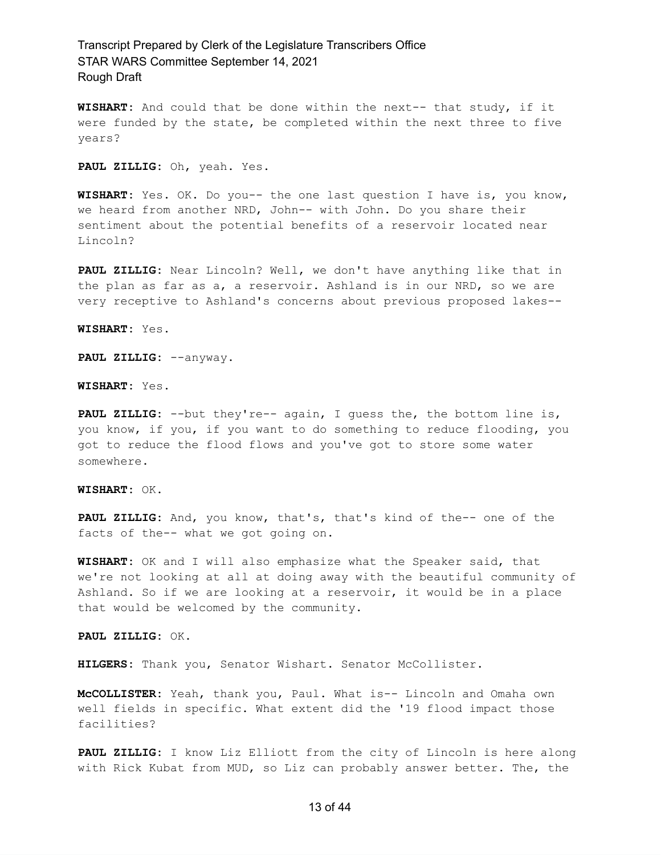**WISHART:** And could that be done within the next-- that study, if it were funded by the state, be completed within the next three to five years?

**PAUL ZILLIG:** Oh, yeah. Yes.

**WISHART:** Yes. OK. Do you-- the one last question I have is, you know, we heard from another NRD, John-- with John. Do you share their sentiment about the potential benefits of a reservoir located near Lincoln?

**PAUL ZILLIG:** Near Lincoln? Well, we don't have anything like that in the plan as far as a, a reservoir. Ashland is in our NRD, so we are very receptive to Ashland's concerns about previous proposed lakes--

**WISHART:** Yes.

**PAUL ZILLIG:** --anyway.

**WISHART:** Yes.

**PAUL ZILLIG:** --but they're-- again, I guess the, the bottom line is, you know, if you, if you want to do something to reduce flooding, you got to reduce the flood flows and you've got to store some water somewhere.

#### **WISHART:** OK.

**PAUL ZILLIG:** And, you know, that's, that's kind of the-- one of the facts of the-- what we got going on.

**WISHART:** OK and I will also emphasize what the Speaker said, that we're not looking at all at doing away with the beautiful community of Ashland. So if we are looking at a reservoir, it would be in a place that would be welcomed by the community.

**PAUL ZILLIG:** OK.

**HILGERS:** Thank you, Senator Wishart. Senator McCollister.

**McCOLLISTER:** Yeah, thank you, Paul. What is-- Lincoln and Omaha own well fields in specific. What extent did the '19 flood impact those facilities?

**PAUL ZILLIG:** I know Liz Elliott from the city of Lincoln is here along with Rick Kubat from MUD, so Liz can probably answer better. The, the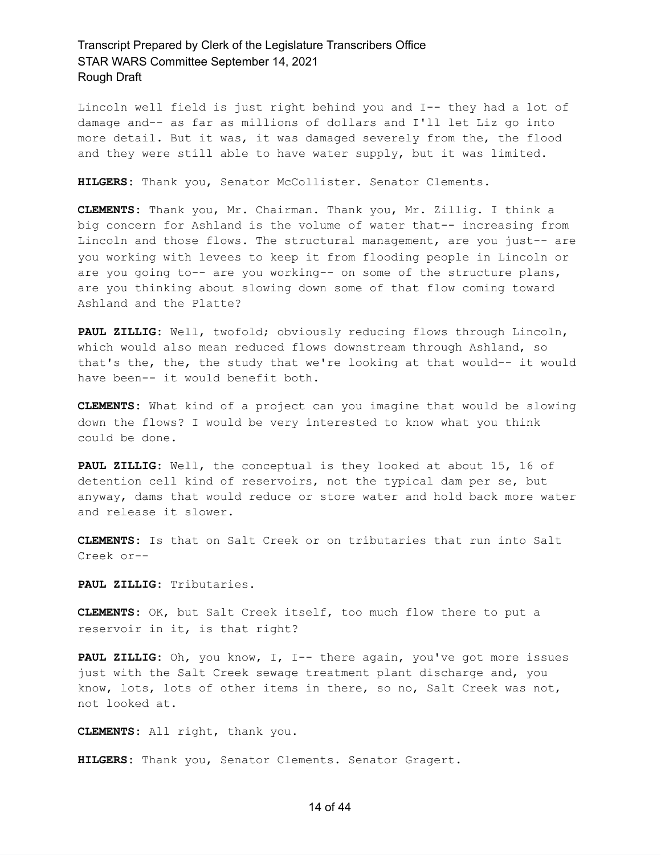Lincoln well field is just right behind you and I-- they had a lot of damage and-- as far as millions of dollars and I'll let Liz go into more detail. But it was, it was damaged severely from the, the flood and they were still able to have water supply, but it was limited.

**HILGERS:** Thank you, Senator McCollister. Senator Clements.

**CLEMENTS:** Thank you, Mr. Chairman. Thank you, Mr. Zillig. I think a big concern for Ashland is the volume of water that-- increasing from Lincoln and those flows. The structural management, are you just-- are you working with levees to keep it from flooding people in Lincoln or are you going to-- are you working-- on some of the structure plans, are you thinking about slowing down some of that flow coming toward Ashland and the Platte?

**PAUL ZILLIG:** Well, twofold; obviously reducing flows through Lincoln, which would also mean reduced flows downstream through Ashland, so that's the, the, the study that we're looking at that would-- it would have been-- it would benefit both.

**CLEMENTS:** What kind of a project can you imagine that would be slowing down the flows? I would be very interested to know what you think could be done.

**PAUL ZILLIG:** Well, the conceptual is they looked at about 15, 16 of detention cell kind of reservoirs, not the typical dam per se, but anyway, dams that would reduce or store water and hold back more water and release it slower.

**CLEMENTS:** Is that on Salt Creek or on tributaries that run into Salt Creek or--

**PAUL ZILLIG:** Tributaries.

**CLEMENTS:** OK, but Salt Creek itself, too much flow there to put a reservoir in it, is that right?

**PAUL ZILLIG:** Oh, you know, I, I-- there again, you've got more issues just with the Salt Creek sewage treatment plant discharge and, you know, lots, lots of other items in there, so no, Salt Creek was not, not looked at.

**CLEMENTS:** All right, thank you.

**HILGERS:** Thank you, Senator Clements. Senator Gragert.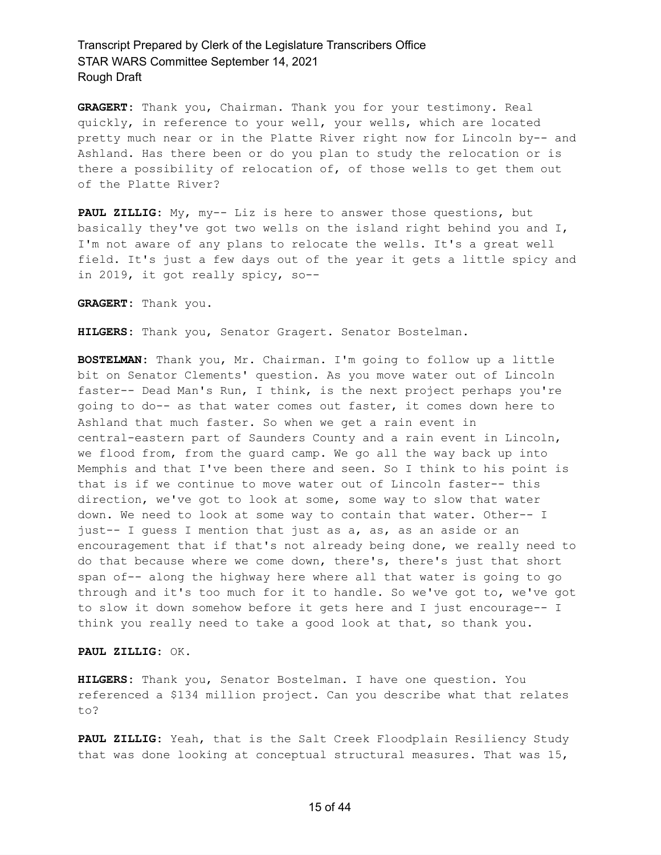**GRAGERT:** Thank you, Chairman. Thank you for your testimony. Real quickly, in reference to your well, your wells, which are located pretty much near or in the Platte River right now for Lincoln by-- and Ashland. Has there been or do you plan to study the relocation or is there a possibility of relocation of, of those wells to get them out of the Platte River?

**PAUL ZILLIG:** My, my-- Liz is here to answer those questions, but basically they've got two wells on the island right behind you and I, I'm not aware of any plans to relocate the wells. It's a great well field. It's just a few days out of the year it gets a little spicy and in 2019, it got really spicy, so--

**GRAGERT:** Thank you.

**HILGERS:** Thank you, Senator Gragert. Senator Bostelman.

**BOSTELMAN:** Thank you, Mr. Chairman. I'm going to follow up a little bit on Senator Clements' question. As you move water out of Lincoln faster-- Dead Man's Run, I think, is the next project perhaps you're going to do-- as that water comes out faster, it comes down here to Ashland that much faster. So when we get a rain event in central-eastern part of Saunders County and a rain event in Lincoln, we flood from, from the guard camp. We go all the way back up into Memphis and that I've been there and seen. So I think to his point is that is if we continue to move water out of Lincoln faster-- this direction, we've got to look at some, some way to slow that water down. We need to look at some way to contain that water. Other-- I just-- I guess I mention that just as a, as, as an aside or an encouragement that if that's not already being done, we really need to do that because where we come down, there's, there's just that short span of-- along the highway here where all that water is going to go through and it's too much for it to handle. So we've got to, we've got to slow it down somehow before it gets here and I just encourage-- I think you really need to take a good look at that, so thank you.

**PAUL ZILLIG:** OK.

**HILGERS:** Thank you, Senator Bostelman. I have one question. You referenced a \$134 million project. Can you describe what that relates to?

**PAUL ZILLIG:** Yeah, that is the Salt Creek Floodplain Resiliency Study that was done looking at conceptual structural measures. That was 15,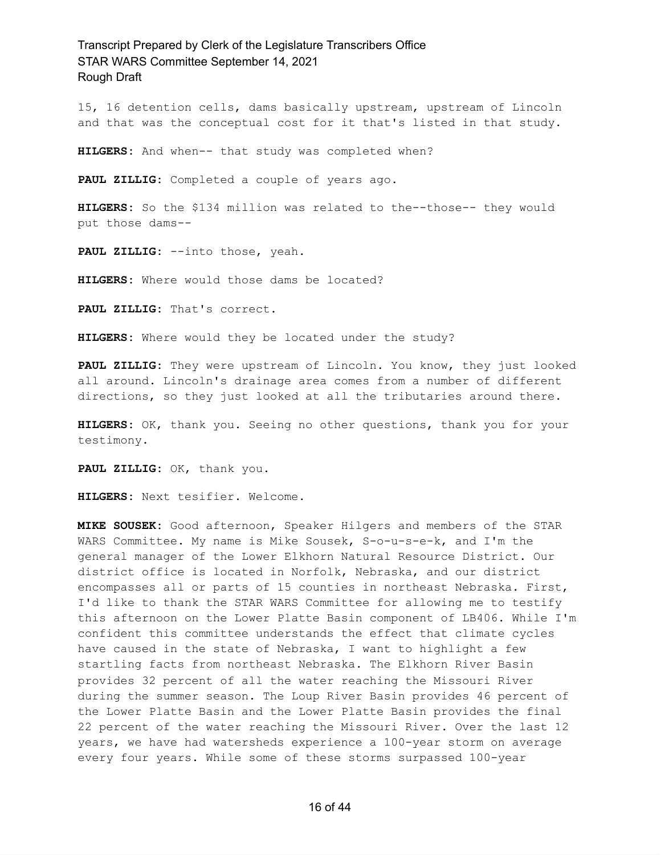15, 16 detention cells, dams basically upstream, upstream of Lincoln and that was the conceptual cost for it that's listed in that study.

**HILGERS:** And when-- that study was completed when?

**PAUL ZILLIG:** Completed a couple of years ago.

**HILGERS:** So the \$134 million was related to the--those-- they would put those dams--

**PAUL ZILLIG:** --into those, yeah.

**HILGERS:** Where would those dams be located?

**PAUL ZILLIG:** That's correct.

**HILGERS:** Where would they be located under the study?

**PAUL ZILLIG:** They were upstream of Lincoln. You know, they just looked all around. Lincoln's drainage area comes from a number of different directions, so they just looked at all the tributaries around there.

**HILGERS:** OK, thank you. Seeing no other questions, thank you for your testimony.

**PAUL ZILLIG:** OK, thank you.

**HILGERS:** Next tesifier. Welcome.

**MIKE SOUSEK:** Good afternoon, Speaker Hilgers and members of the STAR WARS Committee. My name is Mike Sousek, S-o-u-s-e-k, and I'm the general manager of the Lower Elkhorn Natural Resource District. Our district office is located in Norfolk, Nebraska, and our district encompasses all or parts of 15 counties in northeast Nebraska. First, I'd like to thank the STAR WARS Committee for allowing me to testify this afternoon on the Lower Platte Basin component of LB406. While I'm confident this committee understands the effect that climate cycles have caused in the state of Nebraska, I want to highlight a few startling facts from northeast Nebraska. The Elkhorn River Basin provides 32 percent of all the water reaching the Missouri River during the summer season. The Loup River Basin provides 46 percent of the Lower Platte Basin and the Lower Platte Basin provides the final 22 percent of the water reaching the Missouri River. Over the last 12 years, we have had watersheds experience a 100-year storm on average every four years. While some of these storms surpassed 100-year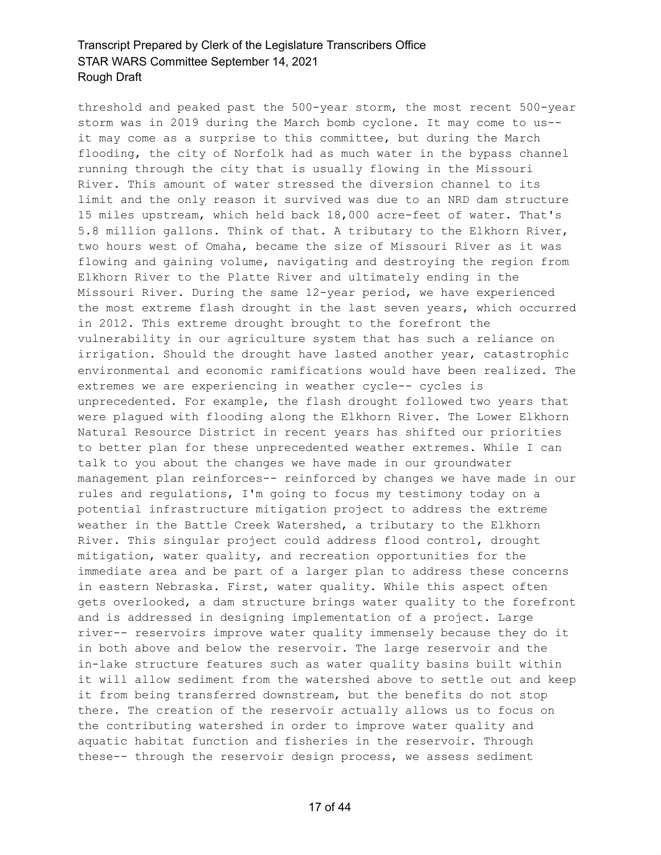threshold and peaked past the 500-year storm, the most recent 500-year storm was in 2019 during the March bomb cyclone. It may come to us- it may come as a surprise to this committee, but during the March flooding, the city of Norfolk had as much water in the bypass channel running through the city that is usually flowing in the Missouri River. This amount of water stressed the diversion channel to its limit and the only reason it survived was due to an NRD dam structure 15 miles upstream, which held back 18,000 acre-feet of water. That's 5.8 million gallons. Think of that. A tributary to the Elkhorn River, two hours west of Omaha, became the size of Missouri River as it was flowing and gaining volume, navigating and destroying the region from Elkhorn River to the Platte River and ultimately ending in the Missouri River. During the same 12-year period, we have experienced the most extreme flash drought in the last seven years, which occurred in 2012. This extreme drought brought to the forefront the vulnerability in our agriculture system that has such a reliance on irrigation. Should the drought have lasted another year, catastrophic environmental and economic ramifications would have been realized. The extremes we are experiencing in weather cycle-- cycles is unprecedented. For example, the flash drought followed two years that were plagued with flooding along the Elkhorn River. The Lower Elkhorn Natural Resource District in recent years has shifted our priorities to better plan for these unprecedented weather extremes. While I can talk to you about the changes we have made in our groundwater management plan reinforces-- reinforced by changes we have made in our rules and regulations, I'm going to focus my testimony today on a potential infrastructure mitigation project to address the extreme weather in the Battle Creek Watershed, a tributary to the Elkhorn River. This singular project could address flood control, drought mitigation, water quality, and recreation opportunities for the immediate area and be part of a larger plan to address these concerns in eastern Nebraska. First, water quality. While this aspect often gets overlooked, a dam structure brings water quality to the forefront and is addressed in designing implementation of a project. Large river-- reservoirs improve water quality immensely because they do it in both above and below the reservoir. The large reservoir and the in-lake structure features such as water quality basins built within it will allow sediment from the watershed above to settle out and keep it from being transferred downstream, but the benefits do not stop there. The creation of the reservoir actually allows us to focus on the contributing watershed in order to improve water quality and aquatic habitat function and fisheries in the reservoir. Through these-- through the reservoir design process, we assess sediment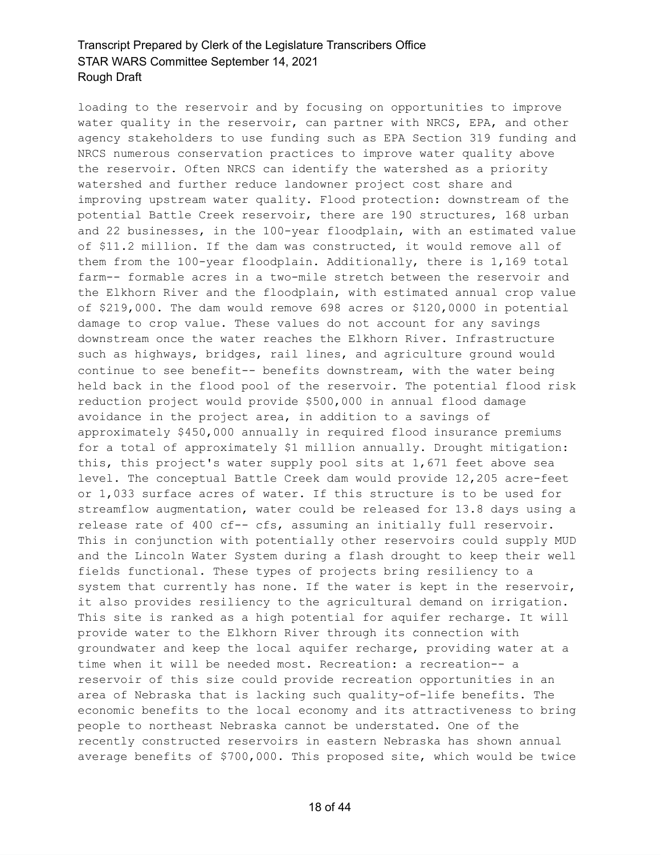loading to the reservoir and by focusing on opportunities to improve water quality in the reservoir, can partner with NRCS, EPA, and other agency stakeholders to use funding such as EPA Section 319 funding and NRCS numerous conservation practices to improve water quality above the reservoir. Often NRCS can identify the watershed as a priority watershed and further reduce landowner project cost share and improving upstream water quality. Flood protection: downstream of the potential Battle Creek reservoir, there are 190 structures, 168 urban and 22 businesses, in the 100-year floodplain, with an estimated value of \$11.2 million. If the dam was constructed, it would remove all of them from the 100-year floodplain. Additionally, there is 1,169 total farm-- formable acres in a two-mile stretch between the reservoir and the Elkhorn River and the floodplain, with estimated annual crop value of \$219,000. The dam would remove 698 acres or \$120,0000 in potential damage to crop value. These values do not account for any savings downstream once the water reaches the Elkhorn River. Infrastructure such as highways, bridges, rail lines, and agriculture ground would continue to see benefit-- benefits downstream, with the water being held back in the flood pool of the reservoir. The potential flood risk reduction project would provide \$500,000 in annual flood damage avoidance in the project area, in addition to a savings of approximately \$450,000 annually in required flood insurance premiums for a total of approximately \$1 million annually. Drought mitigation: this, this project's water supply pool sits at 1,671 feet above sea level. The conceptual Battle Creek dam would provide 12,205 acre-feet or 1,033 surface acres of water. If this structure is to be used for streamflow augmentation, water could be released for 13.8 days using a release rate of 400 cf-- cfs, assuming an initially full reservoir. This in conjunction with potentially other reservoirs could supply MUD and the Lincoln Water System during a flash drought to keep their well fields functional. These types of projects bring resiliency to a system that currently has none. If the water is kept in the reservoir, it also provides resiliency to the agricultural demand on irrigation. This site is ranked as a high potential for aquifer recharge. It will provide water to the Elkhorn River through its connection with groundwater and keep the local aquifer recharge, providing water at a time when it will be needed most. Recreation: a recreation-- a reservoir of this size could provide recreation opportunities in an area of Nebraska that is lacking such quality-of-life benefits. The economic benefits to the local economy and its attractiveness to bring people to northeast Nebraska cannot be understated. One of the recently constructed reservoirs in eastern Nebraska has shown annual average benefits of \$700,000. This proposed site, which would be twice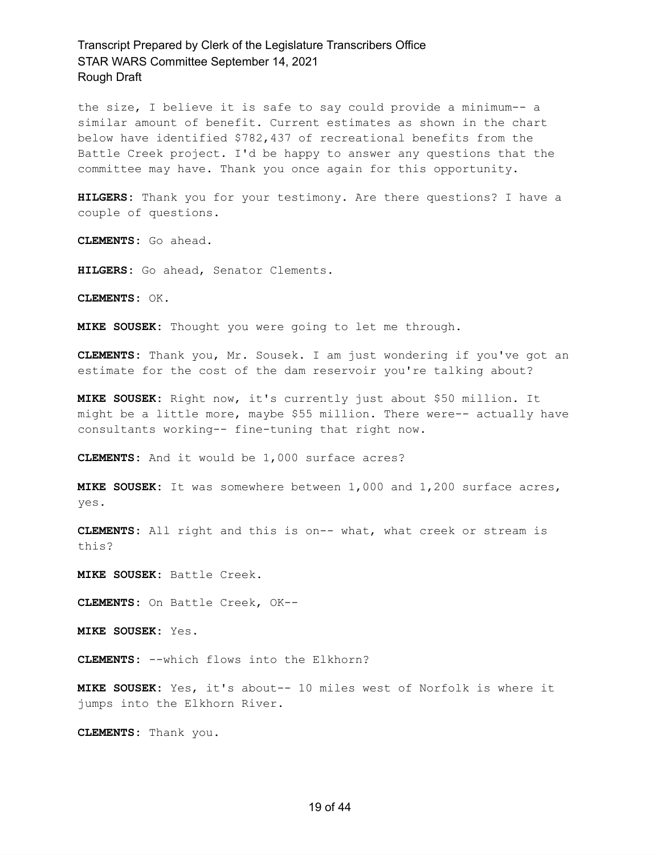the size, I believe it is safe to say could provide a minimum-- a similar amount of benefit. Current estimates as shown in the chart below have identified \$782,437 of recreational benefits from the Battle Creek project. I'd be happy to answer any questions that the committee may have. Thank you once again for this opportunity.

**HILGERS:** Thank you for your testimony. Are there questions? I have a couple of questions.

**CLEMENTS:** Go ahead.

**HILGERS:** Go ahead, Senator Clements.

**CLEMENTS:** OK.

**MIKE SOUSEK:** Thought you were going to let me through.

**CLEMENTS:** Thank you, Mr. Sousek. I am just wondering if you've got an estimate for the cost of the dam reservoir you're talking about?

**MIKE SOUSEK:** Right now, it's currently just about \$50 million. It might be a little more, maybe \$55 million. There were-- actually have consultants working-- fine-tuning that right now.

**CLEMENTS:** And it would be 1,000 surface acres?

**MIKE SOUSEK:** It was somewhere between 1,000 and 1,200 surface acres, yes.

**CLEMENTS:** All right and this is on-- what, what creek or stream is this?

**MIKE SOUSEK:** Battle Creek.

**CLEMENTS:** On Battle Creek, OK--

**MIKE SOUSEK:** Yes.

**CLEMENTS:** --which flows into the Elkhorn?

**MIKE SOUSEK:** Yes, it's about-- 10 miles west of Norfolk is where it jumps into the Elkhorn River.

**CLEMENTS:** Thank you.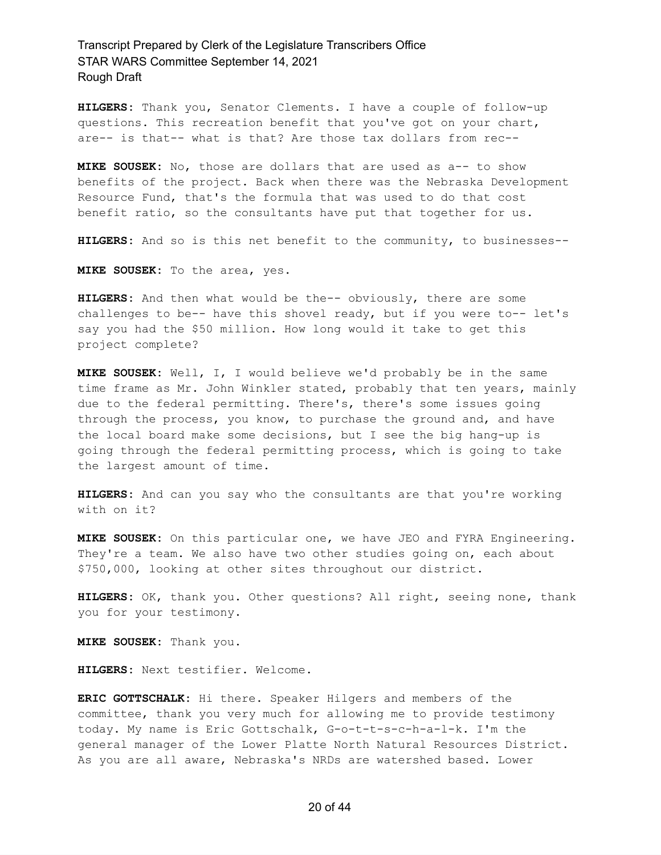**HILGERS:** Thank you, Senator Clements. I have a couple of follow-up questions. This recreation benefit that you've got on your chart, are-- is that-- what is that? Are those tax dollars from rec--

**MIKE SOUSEK:** No, those are dollars that are used as a-- to show benefits of the project. Back when there was the Nebraska Development Resource Fund, that's the formula that was used to do that cost benefit ratio, so the consultants have put that together for us.

**HILGERS:** And so is this net benefit to the community, to businesses--

**MIKE SOUSEK:** To the area, yes.

**HILGERS:** And then what would be the-- obviously, there are some challenges to be-- have this shovel ready, but if you were to-- let's say you had the \$50 million. How long would it take to get this project complete?

**MIKE SOUSEK:** Well, I, I would believe we'd probably be in the same time frame as Mr. John Winkler stated, probably that ten years, mainly due to the federal permitting. There's, there's some issues going through the process, you know, to purchase the ground and, and have the local board make some decisions, but I see the big hang-up is going through the federal permitting process, which is going to take the largest amount of time.

**HILGERS:** And can you say who the consultants are that you're working with on it?

**MIKE SOUSEK:** On this particular one, we have JEO and FYRA Engineering. They're a team. We also have two other studies going on, each about \$750,000, looking at other sites throughout our district.

**HILGERS:** OK, thank you. Other questions? All right, seeing none, thank you for your testimony.

**MIKE SOUSEK:** Thank you.

**HILGERS:** Next testifier. Welcome.

**ERIC GOTTSCHALK:** Hi there. Speaker Hilgers and members of the committee, thank you very much for allowing me to provide testimony today. My name is Eric Gottschalk, G-o-t-t-s-c-h-a-l-k. I'm the general manager of the Lower Platte North Natural Resources District. As you are all aware, Nebraska's NRDs are watershed based. Lower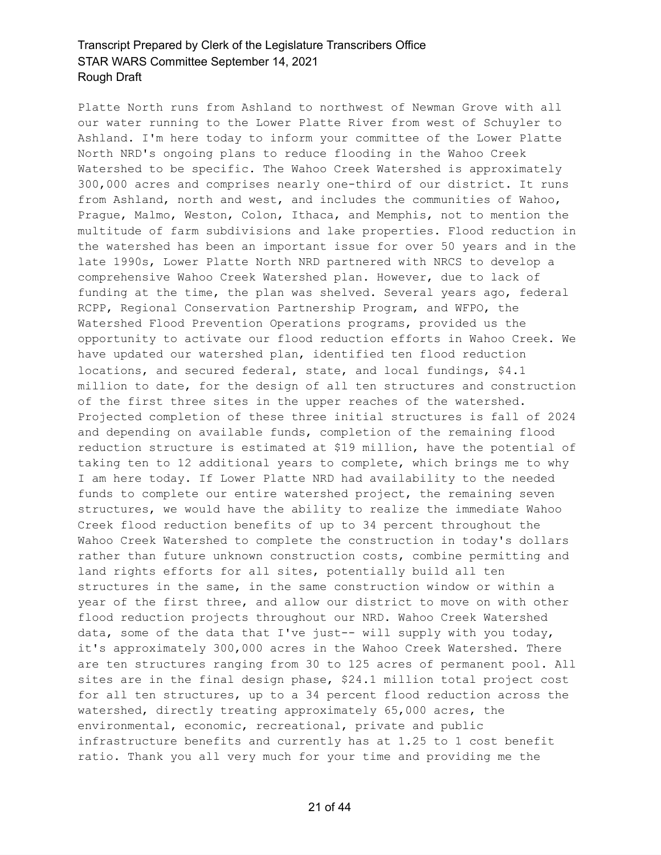Platte North runs from Ashland to northwest of Newman Grove with all our water running to the Lower Platte River from west of Schuyler to Ashland. I'm here today to inform your committee of the Lower Platte North NRD's ongoing plans to reduce flooding in the Wahoo Creek Watershed to be specific. The Wahoo Creek Watershed is approximately 300,000 acres and comprises nearly one-third of our district. It runs from Ashland, north and west, and includes the communities of Wahoo, Prague, Malmo, Weston, Colon, Ithaca, and Memphis, not to mention the multitude of farm subdivisions and lake properties. Flood reduction in the watershed has been an important issue for over 50 years and in the late 1990s, Lower Platte North NRD partnered with NRCS to develop a comprehensive Wahoo Creek Watershed plan. However, due to lack of funding at the time, the plan was shelved. Several years ago, federal RCPP, Regional Conservation Partnership Program, and WFPO, the Watershed Flood Prevention Operations programs, provided us the opportunity to activate our flood reduction efforts in Wahoo Creek. We have updated our watershed plan, identified ten flood reduction locations, and secured federal, state, and local fundings, \$4.1 million to date, for the design of all ten structures and construction of the first three sites in the upper reaches of the watershed. Projected completion of these three initial structures is fall of 2024 and depending on available funds, completion of the remaining flood reduction structure is estimated at \$19 million, have the potential of taking ten to 12 additional years to complete, which brings me to why I am here today. If Lower Platte NRD had availability to the needed funds to complete our entire watershed project, the remaining seven structures, we would have the ability to realize the immediate Wahoo Creek flood reduction benefits of up to 34 percent throughout the Wahoo Creek Watershed to complete the construction in today's dollars rather than future unknown construction costs, combine permitting and land rights efforts for all sites, potentially build all ten structures in the same, in the same construction window or within a year of the first three, and allow our district to move on with other flood reduction projects throughout our NRD. Wahoo Creek Watershed data, some of the data that I've just-- will supply with you today, it's approximately 300,000 acres in the Wahoo Creek Watershed. There are ten structures ranging from 30 to 125 acres of permanent pool. All sites are in the final design phase, \$24.1 million total project cost for all ten structures, up to a 34 percent flood reduction across the watershed, directly treating approximately 65,000 acres, the environmental, economic, recreational, private and public infrastructure benefits and currently has at 1.25 to 1 cost benefit ratio. Thank you all very much for your time and providing me the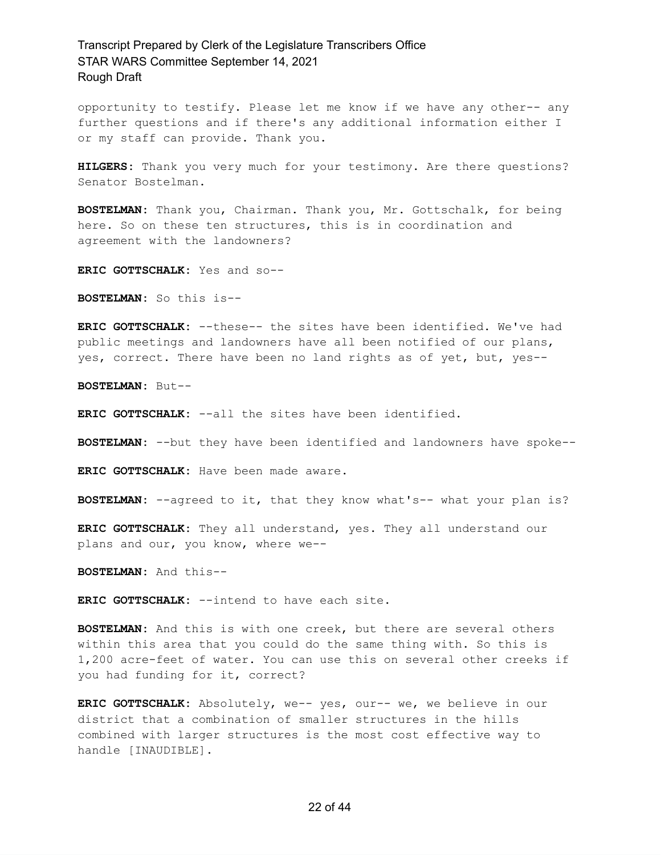opportunity to testify. Please let me know if we have any other-- any further questions and if there's any additional information either I or my staff can provide. Thank you.

**HILGERS:** Thank you very much for your testimony. Are there questions? Senator Bostelman.

**BOSTELMAN:** Thank you, Chairman. Thank you, Mr. Gottschalk, for being here. So on these ten structures, this is in coordination and agreement with the landowners?

**ERIC GOTTSCHALK:** Yes and so--

**BOSTELMAN:** So this is--

**ERIC GOTTSCHALK:** --these-- the sites have been identified. We've had public meetings and landowners have all been notified of our plans, yes, correct. There have been no land rights as of yet, but, yes--

**BOSTELMAN:** But--

**ERIC GOTTSCHALK:** --all the sites have been identified.

**BOSTELMAN:** --but they have been identified and landowners have spoke--

**ERIC GOTTSCHALK:** Have been made aware.

**BOSTELMAN:** --agreed to it, that they know what's-- what your plan is?

**ERIC GOTTSCHALK:** They all understand, yes. They all understand our plans and our, you know, where we--

**BOSTELMAN:** And this--

**ERIC GOTTSCHALK:** --intend to have each site.

**BOSTELMAN:** And this is with one creek, but there are several others within this area that you could do the same thing with. So this is 1,200 acre-feet of water. You can use this on several other creeks if you had funding for it, correct?

**ERIC GOTTSCHALK:** Absolutely, we-- yes, our-- we, we believe in our district that a combination of smaller structures in the hills combined with larger structures is the most cost effective way to handle [INAUDIBLE].

#### 22 of 44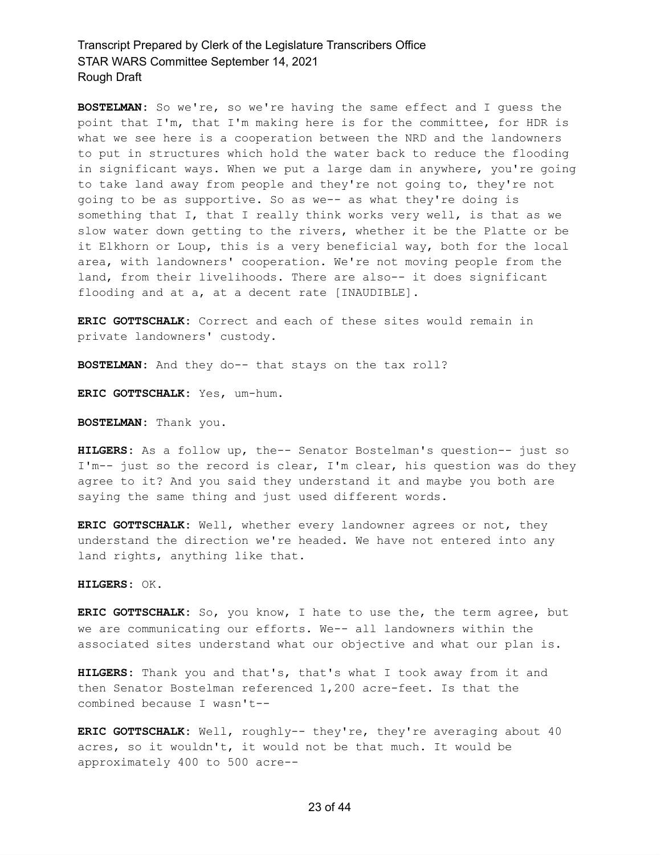**BOSTELMAN:** So we're, so we're having the same effect and I guess the point that I'm, that I'm making here is for the committee, for HDR is what we see here is a cooperation between the NRD and the landowners to put in structures which hold the water back to reduce the flooding in significant ways. When we put a large dam in anywhere, you're going to take land away from people and they're not going to, they're not going to be as supportive. So as we-- as what they're doing is something that I, that I really think works very well, is that as we slow water down getting to the rivers, whether it be the Platte or be it Elkhorn or Loup, this is a very beneficial way, both for the local area, with landowners' cooperation. We're not moving people from the land, from their livelihoods. There are also-- it does significant flooding and at a, at a decent rate [INAUDIBLE].

**ERIC GOTTSCHALK:** Correct and each of these sites would remain in private landowners' custody.

**BOSTELMAN:** And they do-- that stays on the tax roll?

**ERIC GOTTSCHALK:** Yes, um-hum.

**BOSTELMAN:** Thank you.

**HILGERS:** As a follow up, the-- Senator Bostelman's question-- just so I'm-- just so the record is clear, I'm clear, his question was do they agree to it? And you said they understand it and maybe you both are saying the same thing and just used different words.

**ERIC GOTTSCHALK:** Well, whether every landowner agrees or not, they understand the direction we're headed. We have not entered into any land rights, anything like that.

**HILGERS:** OK.

**ERIC GOTTSCHALK:** So, you know, I hate to use the, the term agree, but we are communicating our efforts. We-- all landowners within the associated sites understand what our objective and what our plan is.

**HILGERS:** Thank you and that's, that's what I took away from it and then Senator Bostelman referenced 1,200 acre-feet. Is that the combined because I wasn't--

**ERIC GOTTSCHALK:** Well, roughly-- they're, they're averaging about 40 acres, so it wouldn't, it would not be that much. It would be approximately 400 to 500 acre--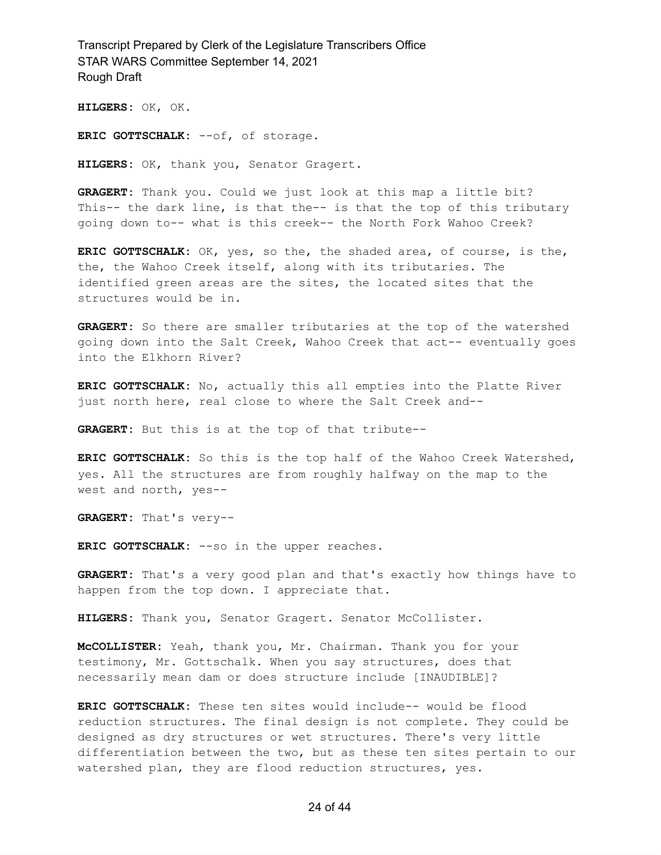**HILGERS:** OK, OK.

**ERIC GOTTSCHALK:** --of, of storage.

**HILGERS:** OK, thank you, Senator Gragert.

**GRAGERT:** Thank you. Could we just look at this map a little bit? This-- the dark line, is that the-- is that the top of this tributary going down to-- what is this creek-- the North Fork Wahoo Creek?

**ERIC GOTTSCHALK:** OK, yes, so the, the shaded area, of course, is the, the, the Wahoo Creek itself, along with its tributaries. The identified green areas are the sites, the located sites that the structures would be in.

**GRAGERT:** So there are smaller tributaries at the top of the watershed going down into the Salt Creek, Wahoo Creek that act-- eventually goes into the Elkhorn River?

**ERIC GOTTSCHALK:** No, actually this all empties into the Platte River just north here, real close to where the Salt Creek and--

**GRAGERT:** But this is at the top of that tribute--

**ERIC GOTTSCHALK:** So this is the top half of the Wahoo Creek Watershed, yes. All the structures are from roughly halfway on the map to the west and north, yes--

**GRAGERT:** That's very--

**ERIC GOTTSCHALK:** --so in the upper reaches.

**GRAGERT:** That's a very good plan and that's exactly how things have to happen from the top down. I appreciate that.

**HILGERS:** Thank you, Senator Gragert. Senator McCollister.

**McCOLLISTER:** Yeah, thank you, Mr. Chairman. Thank you for your testimony, Mr. Gottschalk. When you say structures, does that necessarily mean dam or does structure include [INAUDIBLE]?

**ERIC GOTTSCHALK:** These ten sites would include-- would be flood reduction structures. The final design is not complete. They could be designed as dry structures or wet structures. There's very little differentiation between the two, but as these ten sites pertain to our watershed plan, they are flood reduction structures, yes.

#### 24 of 44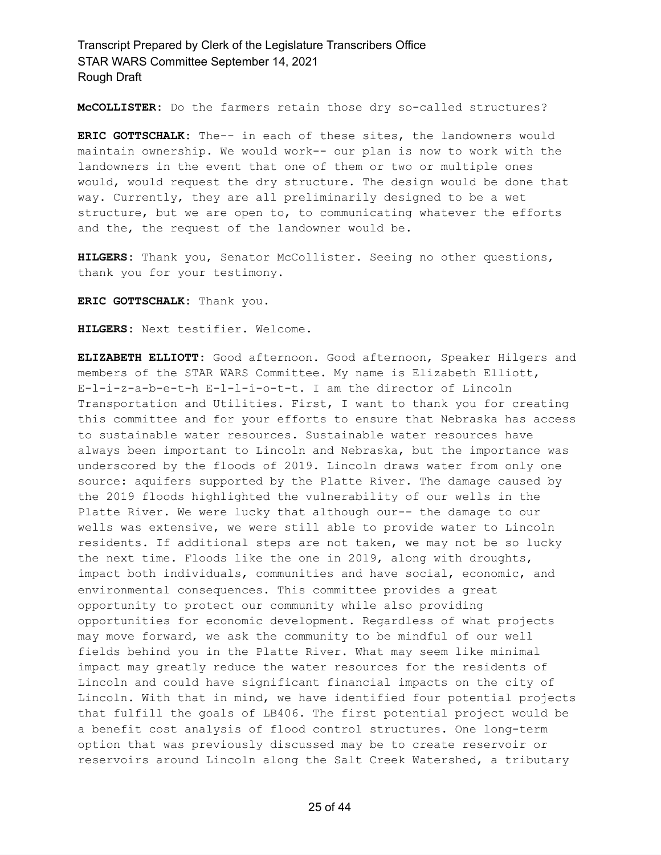**McCOLLISTER:** Do the farmers retain those dry so-called structures?

**ERIC GOTTSCHALK:** The-- in each of these sites, the landowners would maintain ownership. We would work-- our plan is now to work with the landowners in the event that one of them or two or multiple ones would, would request the dry structure. The design would be done that way. Currently, they are all preliminarily designed to be a wet structure, but we are open to, to communicating whatever the efforts and the, the request of the landowner would be.

**HILGERS:** Thank you, Senator McCollister. Seeing no other questions, thank you for your testimony.

**ERIC GOTTSCHALK:** Thank you.

**HILGERS:** Next testifier. Welcome.

**ELIZABETH ELLIOTT:** Good afternoon. Good afternoon, Speaker Hilgers and members of the STAR WARS Committee. My name is Elizabeth Elliott, E-l-i-z-a-b-e-t-h E-l-l-i-o-t-t. I am the director of Lincoln Transportation and Utilities. First, I want to thank you for creating this committee and for your efforts to ensure that Nebraska has access to sustainable water resources. Sustainable water resources have always been important to Lincoln and Nebraska, but the importance was underscored by the floods of 2019. Lincoln draws water from only one source: aquifers supported by the Platte River. The damage caused by the 2019 floods highlighted the vulnerability of our wells in the Platte River. We were lucky that although our-- the damage to our wells was extensive, we were still able to provide water to Lincoln residents. If additional steps are not taken, we may not be so lucky the next time. Floods like the one in 2019, along with droughts, impact both individuals, communities and have social, economic, and environmental consequences. This committee provides a great opportunity to protect our community while also providing opportunities for economic development. Regardless of what projects may move forward, we ask the community to be mindful of our well fields behind you in the Platte River. What may seem like minimal impact may greatly reduce the water resources for the residents of Lincoln and could have significant financial impacts on the city of Lincoln. With that in mind, we have identified four potential projects that fulfill the goals of LB406. The first potential project would be a benefit cost analysis of flood control structures. One long-term option that was previously discussed may be to create reservoir or reservoirs around Lincoln along the Salt Creek Watershed, a tributary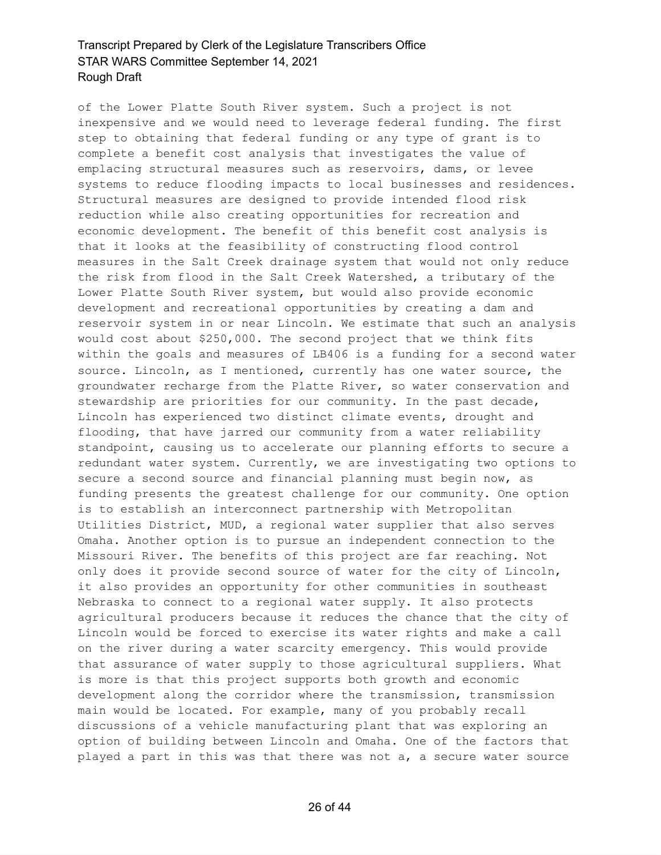of the Lower Platte South River system. Such a project is not inexpensive and we would need to leverage federal funding. The first step to obtaining that federal funding or any type of grant is to complete a benefit cost analysis that investigates the value of emplacing structural measures such as reservoirs, dams, or levee systems to reduce flooding impacts to local businesses and residences. Structural measures are designed to provide intended flood risk reduction while also creating opportunities for recreation and economic development. The benefit of this benefit cost analysis is that it looks at the feasibility of constructing flood control measures in the Salt Creek drainage system that would not only reduce the risk from flood in the Salt Creek Watershed, a tributary of the Lower Platte South River system, but would also provide economic development and recreational opportunities by creating a dam and reservoir system in or near Lincoln. We estimate that such an analysis would cost about \$250,000. The second project that we think fits within the goals and measures of LB406 is a funding for a second water source. Lincoln, as I mentioned, currently has one water source, the groundwater recharge from the Platte River, so water conservation and stewardship are priorities for our community. In the past decade, Lincoln has experienced two distinct climate events, drought and flooding, that have jarred our community from a water reliability standpoint, causing us to accelerate our planning efforts to secure a redundant water system. Currently, we are investigating two options to secure a second source and financial planning must begin now, as funding presents the greatest challenge for our community. One option is to establish an interconnect partnership with Metropolitan Utilities District, MUD, a regional water supplier that also serves Omaha. Another option is to pursue an independent connection to the Missouri River. The benefits of this project are far reaching. Not only does it provide second source of water for the city of Lincoln, it also provides an opportunity for other communities in southeast Nebraska to connect to a regional water supply. It also protects agricultural producers because it reduces the chance that the city of Lincoln would be forced to exercise its water rights and make a call on the river during a water scarcity emergency. This would provide that assurance of water supply to those agricultural suppliers. What is more is that this project supports both growth and economic development along the corridor where the transmission, transmission main would be located. For example, many of you probably recall discussions of a vehicle manufacturing plant that was exploring an option of building between Lincoln and Omaha. One of the factors that played a part in this was that there was not a, a secure water source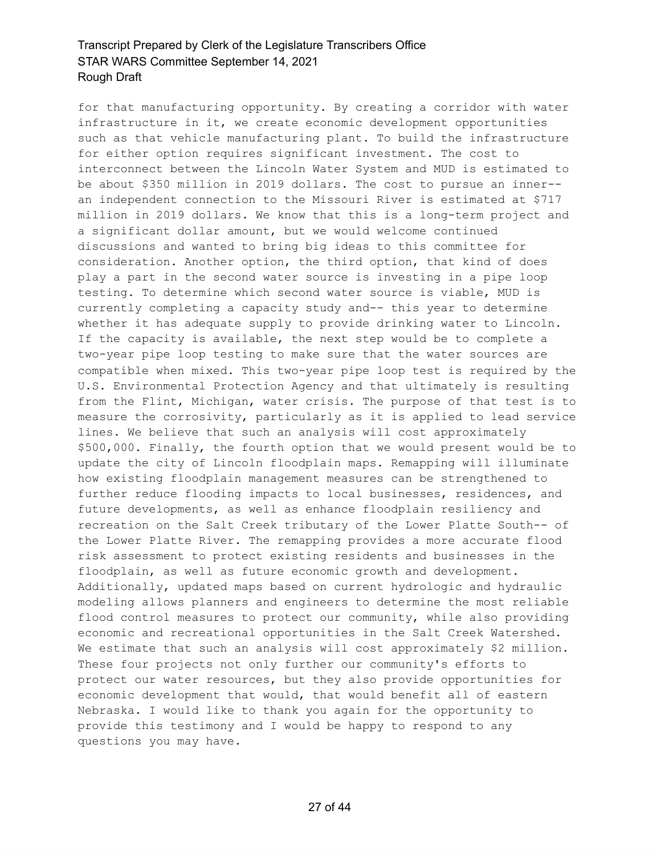for that manufacturing opportunity. By creating a corridor with water infrastructure in it, we create economic development opportunities such as that vehicle manufacturing plant. To build the infrastructure for either option requires significant investment. The cost to interconnect between the Lincoln Water System and MUD is estimated to be about \$350 million in 2019 dollars. The cost to pursue an inner- an independent connection to the Missouri River is estimated at \$717 million in 2019 dollars. We know that this is a long-term project and a significant dollar amount, but we would welcome continued discussions and wanted to bring big ideas to this committee for consideration. Another option, the third option, that kind of does play a part in the second water source is investing in a pipe loop testing. To determine which second water source is viable, MUD is currently completing a capacity study and-- this year to determine whether it has adequate supply to provide drinking water to Lincoln. If the capacity is available, the next step would be to complete a two-year pipe loop testing to make sure that the water sources are compatible when mixed. This two-year pipe loop test is required by the U.S. Environmental Protection Agency and that ultimately is resulting from the Flint, Michigan, water crisis. The purpose of that test is to measure the corrosivity, particularly as it is applied to lead service lines. We believe that such an analysis will cost approximately \$500,000. Finally, the fourth option that we would present would be to update the city of Lincoln floodplain maps. Remapping will illuminate how existing floodplain management measures can be strengthened to further reduce flooding impacts to local businesses, residences, and future developments, as well as enhance floodplain resiliency and recreation on the Salt Creek tributary of the Lower Platte South-- of the Lower Platte River. The remapping provides a more accurate flood risk assessment to protect existing residents and businesses in the floodplain, as well as future economic growth and development. Additionally, updated maps based on current hydrologic and hydraulic modeling allows planners and engineers to determine the most reliable flood control measures to protect our community, while also providing economic and recreational opportunities in the Salt Creek Watershed. We estimate that such an analysis will cost approximately \$2 million. These four projects not only further our community's efforts to protect our water resources, but they also provide opportunities for economic development that would, that would benefit all of eastern Nebraska. I would like to thank you again for the opportunity to provide this testimony and I would be happy to respond to any questions you may have.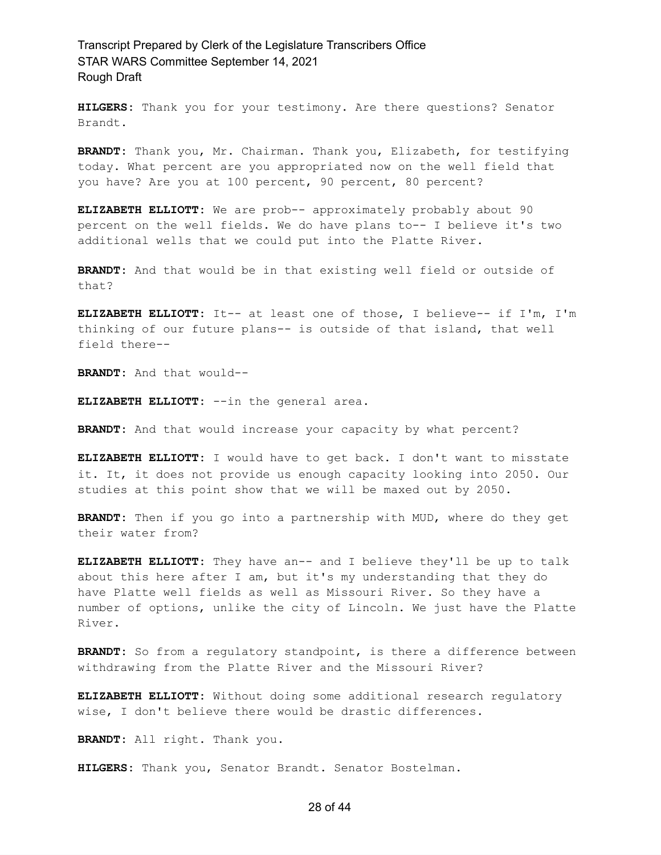**HILGERS:** Thank you for your testimony. Are there questions? Senator Brandt.

**BRANDT:** Thank you, Mr. Chairman. Thank you, Elizabeth, for testifying today. What percent are you appropriated now on the well field that you have? Are you at 100 percent, 90 percent, 80 percent?

**ELIZABETH ELLIOTT:** We are prob-- approximately probably about 90 percent on the well fields. We do have plans to-- I believe it's two additional wells that we could put into the Platte River.

**BRANDT:** And that would be in that existing well field or outside of that?

**ELIZABETH ELLIOTT:** It-- at least one of those, I believe-- if I'm, I'm thinking of our future plans-- is outside of that island, that well field there--

**BRANDT:** And that would--

**ELIZABETH ELLIOTT:** --in the general area.

**BRANDT:** And that would increase your capacity by what percent?

**ELIZABETH ELLIOTT:** I would have to get back. I don't want to misstate it. It, it does not provide us enough capacity looking into 2050. Our studies at this point show that we will be maxed out by 2050.

**BRANDT:** Then if you go into a partnership with MUD, where do they get their water from?

**ELIZABETH ELLIOTT:** They have an-- and I believe they'll be up to talk about this here after I am, but it's my understanding that they do have Platte well fields as well as Missouri River. So they have a number of options, unlike the city of Lincoln. We just have the Platte River.

**BRANDT:** So from a regulatory standpoint, is there a difference between withdrawing from the Platte River and the Missouri River?

**ELIZABETH ELLIOTT:** Without doing some additional research regulatory wise, I don't believe there would be drastic differences.

**BRANDT:** All right. Thank you.

**HILGERS:** Thank you, Senator Brandt. Senator Bostelman.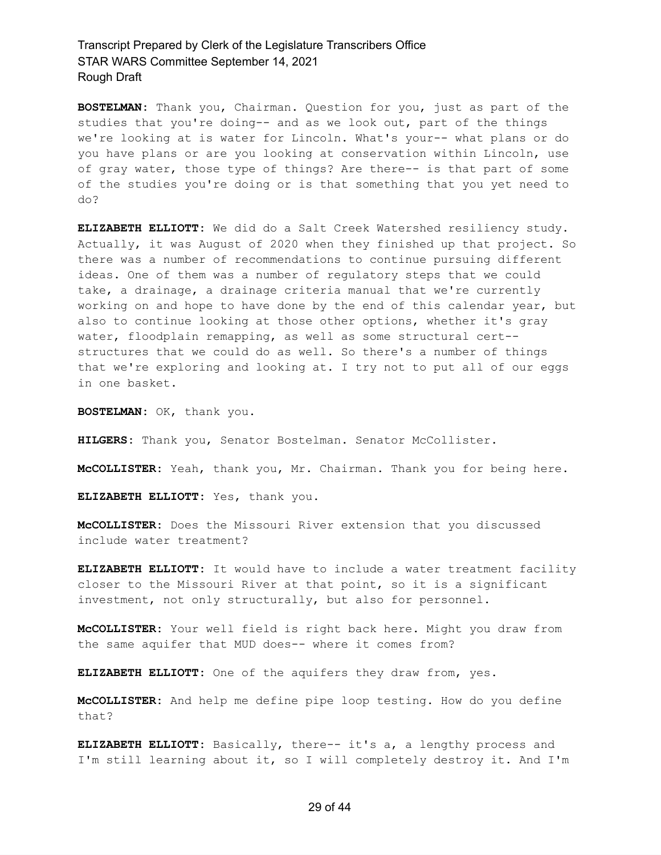**BOSTELMAN:** Thank you, Chairman. Question for you, just as part of the studies that you're doing-- and as we look out, part of the things we're looking at is water for Lincoln. What's your-- what plans or do you have plans or are you looking at conservation within Lincoln, use of gray water, those type of things? Are there-- is that part of some of the studies you're doing or is that something that you yet need to do?

**ELIZABETH ELLIOTT:** We did do a Salt Creek Watershed resiliency study. Actually, it was August of 2020 when they finished up that project. So there was a number of recommendations to continue pursuing different ideas. One of them was a number of regulatory steps that we could take, a drainage, a drainage criteria manual that we're currently working on and hope to have done by the end of this calendar year, but also to continue looking at those other options, whether it's gray water, floodplain remapping, as well as some structural cert- structures that we could do as well. So there's a number of things that we're exploring and looking at. I try not to put all of our eggs in one basket.

**BOSTELMAN:** OK, thank you.

**HILGERS:** Thank you, Senator Bostelman. Senator McCollister.

**McCOLLISTER:** Yeah, thank you, Mr. Chairman. Thank you for being here.

**ELIZABETH ELLIOTT:** Yes, thank you.

**McCOLLISTER:** Does the Missouri River extension that you discussed include water treatment?

**ELIZABETH ELLIOTT:** It would have to include a water treatment facility closer to the Missouri River at that point, so it is a significant investment, not only structurally, but also for personnel.

**McCOLLISTER:** Your well field is right back here. Might you draw from the same aquifer that MUD does-- where it comes from?

**ELIZABETH ELLIOTT:** One of the aquifers they draw from, yes.

**McCOLLISTER:** And help me define pipe loop testing. How do you define that?

**ELIZABETH ELLIOTT:** Basically, there-- it's a, a lengthy process and I'm still learning about it, so I will completely destroy it. And I'm

#### 29 of 44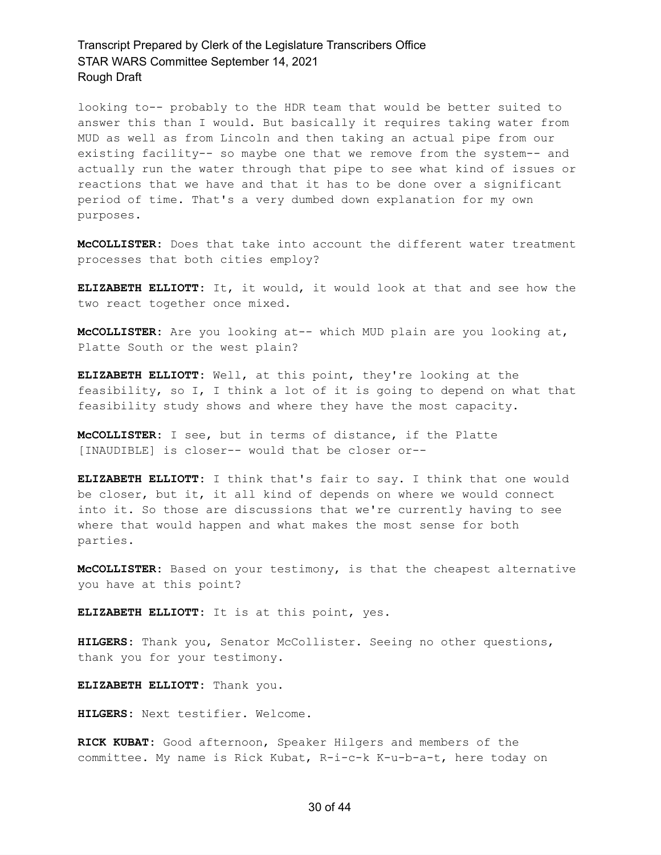looking to-- probably to the HDR team that would be better suited to answer this than I would. But basically it requires taking water from MUD as well as from Lincoln and then taking an actual pipe from our existing facility-- so maybe one that we remove from the system-- and actually run the water through that pipe to see what kind of issues or reactions that we have and that it has to be done over a significant period of time. That's a very dumbed down explanation for my own purposes.

**McCOLLISTER:** Does that take into account the different water treatment processes that both cities employ?

**ELIZABETH ELLIOTT:** It, it would, it would look at that and see how the two react together once mixed.

**McCOLLISTER:** Are you looking at-- which MUD plain are you looking at, Platte South or the west plain?

**ELIZABETH ELLIOTT:** Well, at this point, they're looking at the feasibility, so I, I think a lot of it is going to depend on what that feasibility study shows and where they have the most capacity.

**McCOLLISTER:** I see, but in terms of distance, if the Platte [INAUDIBLE] is closer-- would that be closer or--

**ELIZABETH ELLIOTT:** I think that's fair to say. I think that one would be closer, but it, it all kind of depends on where we would connect into it. So those are discussions that we're currently having to see where that would happen and what makes the most sense for both parties.

**McCOLLISTER:** Based on your testimony, is that the cheapest alternative you have at this point?

**ELIZABETH ELLIOTT:** It is at this point, yes.

**HILGERS:** Thank you, Senator McCollister. Seeing no other questions, thank you for your testimony.

**ELIZABETH ELLIOTT:** Thank you.

**HILGERS:** Next testifier. Welcome.

**RICK KUBAT:** Good afternoon, Speaker Hilgers and members of the committee. My name is Rick Kubat, R-i-c-k K-u-b-a-t, here today on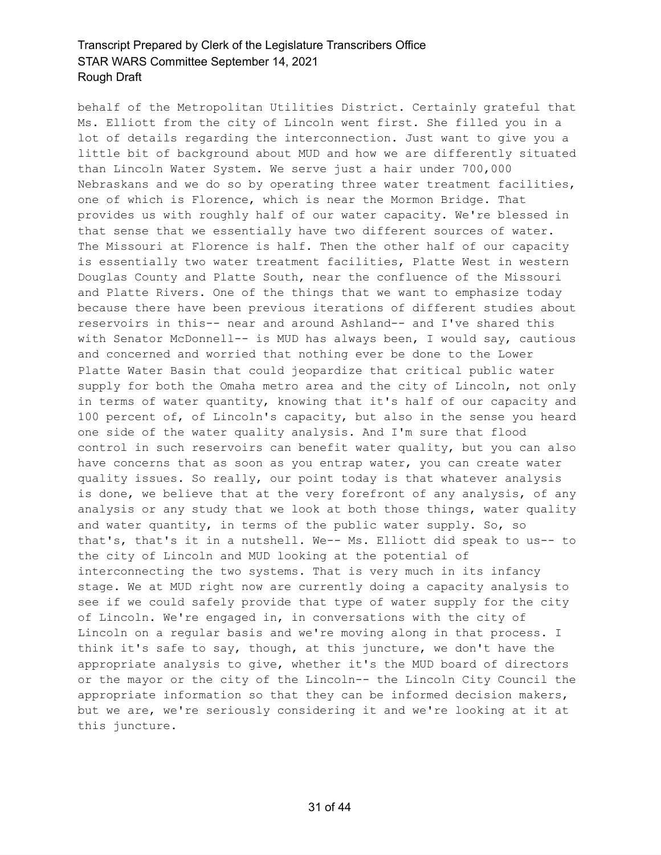behalf of the Metropolitan Utilities District. Certainly grateful that Ms. Elliott from the city of Lincoln went first. She filled you in a lot of details regarding the interconnection. Just want to give you a little bit of background about MUD and how we are differently situated than Lincoln Water System. We serve just a hair under 700,000 Nebraskans and we do so by operating three water treatment facilities, one of which is Florence, which is near the Mormon Bridge. That provides us with roughly half of our water capacity. We're blessed in that sense that we essentially have two different sources of water. The Missouri at Florence is half. Then the other half of our capacity is essentially two water treatment facilities, Platte West in western Douglas County and Platte South, near the confluence of the Missouri and Platte Rivers. One of the things that we want to emphasize today because there have been previous iterations of different studies about reservoirs in this-- near and around Ashland-- and I've shared this with Senator McDonnell-- is MUD has always been, I would say, cautious and concerned and worried that nothing ever be done to the Lower Platte Water Basin that could jeopardize that critical public water supply for both the Omaha metro area and the city of Lincoln, not only in terms of water quantity, knowing that it's half of our capacity and 100 percent of, of Lincoln's capacity, but also in the sense you heard one side of the water quality analysis. And I'm sure that flood control in such reservoirs can benefit water quality, but you can also have concerns that as soon as you entrap water, you can create water quality issues. So really, our point today is that whatever analysis is done, we believe that at the very forefront of any analysis, of any analysis or any study that we look at both those things, water quality and water quantity, in terms of the public water supply. So, so that's, that's it in a nutshell. We-- Ms. Elliott did speak to us-- to the city of Lincoln and MUD looking at the potential of interconnecting the two systems. That is very much in its infancy stage. We at MUD right now are currently doing a capacity analysis to see if we could safely provide that type of water supply for the city of Lincoln. We're engaged in, in conversations with the city of Lincoln on a regular basis and we're moving along in that process. I think it's safe to say, though, at this juncture, we don't have the appropriate analysis to give, whether it's the MUD board of directors or the mayor or the city of the Lincoln-- the Lincoln City Council the appropriate information so that they can be informed decision makers, but we are, we're seriously considering it and we're looking at it at this juncture.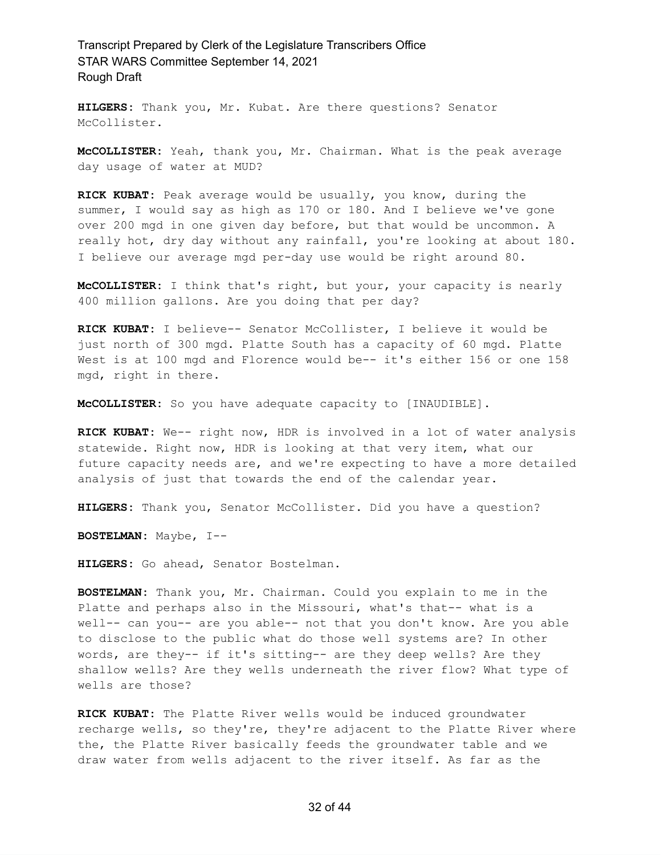**HILGERS:** Thank you, Mr. Kubat. Are there questions? Senator McCollister.

**McCOLLISTER:** Yeah, thank you, Mr. Chairman. What is the peak average day usage of water at MUD?

**RICK KUBAT:** Peak average would be usually, you know, during the summer, I would say as high as 170 or 180. And I believe we've gone over 200 mgd in one given day before, but that would be uncommon. A really hot, dry day without any rainfall, you're looking at about 180. I believe our average mgd per-day use would be right around 80.

**McCOLLISTER:** I think that's right, but your, your capacity is nearly 400 million gallons. Are you doing that per day?

**RICK KUBAT:** I believe-- Senator McCollister, I believe it would be just north of 300 mgd. Platte South has a capacity of 60 mgd. Platte West is at 100 mgd and Florence would be-- it's either 156 or one 158 mgd, right in there.

**McCOLLISTER:** So you have adequate capacity to [INAUDIBLE].

**RICK KUBAT:** We-- right now, HDR is involved in a lot of water analysis statewide. Right now, HDR is looking at that very item, what our future capacity needs are, and we're expecting to have a more detailed analysis of just that towards the end of the calendar year.

**HILGERS:** Thank you, Senator McCollister. Did you have a question?

**BOSTELMAN:** Maybe, I--

**HILGERS:** Go ahead, Senator Bostelman.

**BOSTELMAN:** Thank you, Mr. Chairman. Could you explain to me in the Platte and perhaps also in the Missouri, what's that-- what is a well-- can you-- are you able-- not that you don't know. Are you able to disclose to the public what do those well systems are? In other words, are they-- if it's sitting-- are they deep wells? Are they shallow wells? Are they wells underneath the river flow? What type of wells are those?

**RICK KUBAT:** The Platte River wells would be induced groundwater recharge wells, so they're, they're adjacent to the Platte River where the, the Platte River basically feeds the groundwater table and we draw water from wells adjacent to the river itself. As far as the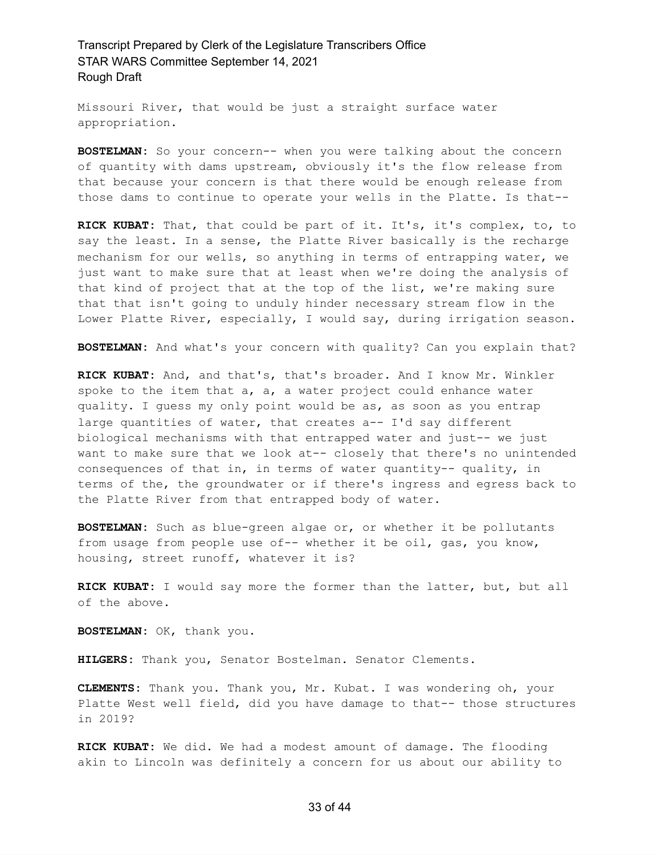Missouri River, that would be just a straight surface water appropriation.

**BOSTELMAN:** So your concern-- when you were talking about the concern of quantity with dams upstream, obviously it's the flow release from that because your concern is that there would be enough release from those dams to continue to operate your wells in the Platte. Is that--

**RICK KUBAT:** That, that could be part of it. It's, it's complex, to, to say the least. In a sense, the Platte River basically is the recharge mechanism for our wells, so anything in terms of entrapping water, we just want to make sure that at least when we're doing the analysis of that kind of project that at the top of the list, we're making sure that that isn't going to unduly hinder necessary stream flow in the Lower Platte River, especially, I would say, during irrigation season.

**BOSTELMAN:** And what's your concern with quality? Can you explain that?

**RICK KUBAT:** And, and that's, that's broader. And I know Mr. Winkler spoke to the item that a, a, a water project could enhance water quality. I guess my only point would be as, as soon as you entrap large quantities of water, that creates a-- I'd say different biological mechanisms with that entrapped water and just-- we just want to make sure that we look at-- closely that there's no unintended consequences of that in, in terms of water quantity-- quality, in terms of the, the groundwater or if there's ingress and egress back to the Platte River from that entrapped body of water.

**BOSTELMAN:** Such as blue-green algae or, or whether it be pollutants from usage from people use of-- whether it be oil, gas, you know, housing, street runoff, whatever it is?

**RICK KUBAT:** I would say more the former than the latter, but, but all of the above.

**BOSTELMAN:** OK, thank you.

**HILGERS:** Thank you, Senator Bostelman. Senator Clements.

**CLEMENTS:** Thank you. Thank you, Mr. Kubat. I was wondering oh, your Platte West well field, did you have damage to that-- those structures in 2019?

**RICK KUBAT:** We did. We had a modest amount of damage. The flooding akin to Lincoln was definitely a concern for us about our ability to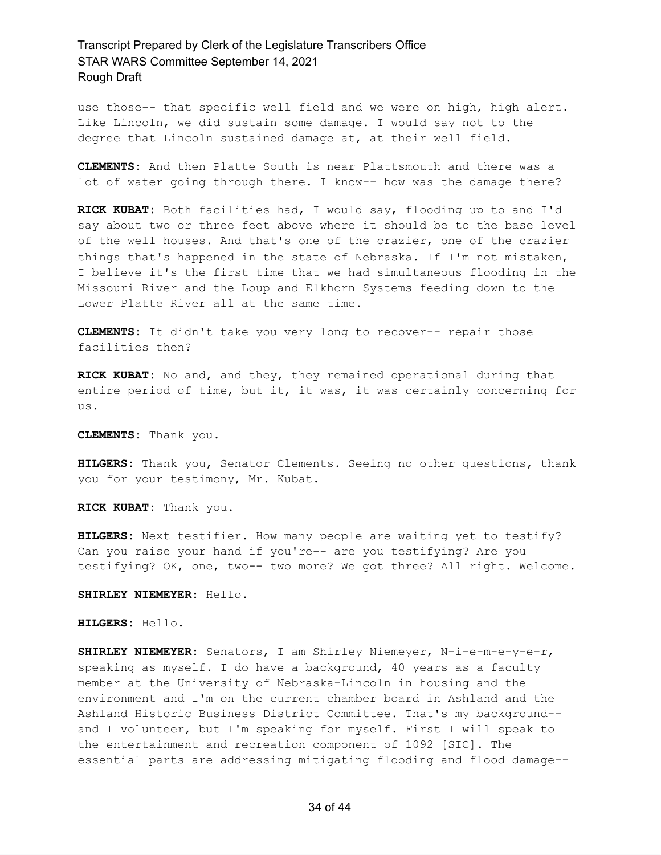use those-- that specific well field and we were on high, high alert. Like Lincoln, we did sustain some damage. I would say not to the degree that Lincoln sustained damage at, at their well field.

**CLEMENTS:** And then Platte South is near Plattsmouth and there was a lot of water going through there. I know-- how was the damage there?

**RICK KUBAT:** Both facilities had, I would say, flooding up to and I'd say about two or three feet above where it should be to the base level of the well houses. And that's one of the crazier, one of the crazier things that's happened in the state of Nebraska. If I'm not mistaken, I believe it's the first time that we had simultaneous flooding in the Missouri River and the Loup and Elkhorn Systems feeding down to the Lower Platte River all at the same time.

**CLEMENTS:** It didn't take you very long to recover-- repair those facilities then?

**RICK KUBAT:** No and, and they, they remained operational during that entire period of time, but it, it was, it was certainly concerning for us.

**CLEMENTS:** Thank you.

**HILGERS:** Thank you, Senator Clements. Seeing no other questions, thank you for your testimony, Mr. Kubat.

**RICK KUBAT:** Thank you.

**HILGERS:** Next testifier. How many people are waiting yet to testify? Can you raise your hand if you're-- are you testifying? Are you testifying? OK, one, two-- two more? We got three? All right. Welcome.

**SHIRLEY NIEMEYER:** Hello.

**HILGERS:** Hello.

**SHIRLEY NIEMEYER:** Senators, I am Shirley Niemeyer, N-i-e-m-e-y-e-r, speaking as myself. I do have a background, 40 years as a faculty member at the University of Nebraska-Lincoln in housing and the environment and I'm on the current chamber board in Ashland and the Ashland Historic Business District Committee. That's my background- and I volunteer, but I'm speaking for myself. First I will speak to the entertainment and recreation component of 1092 [SIC]. The essential parts are addressing mitigating flooding and flood damage--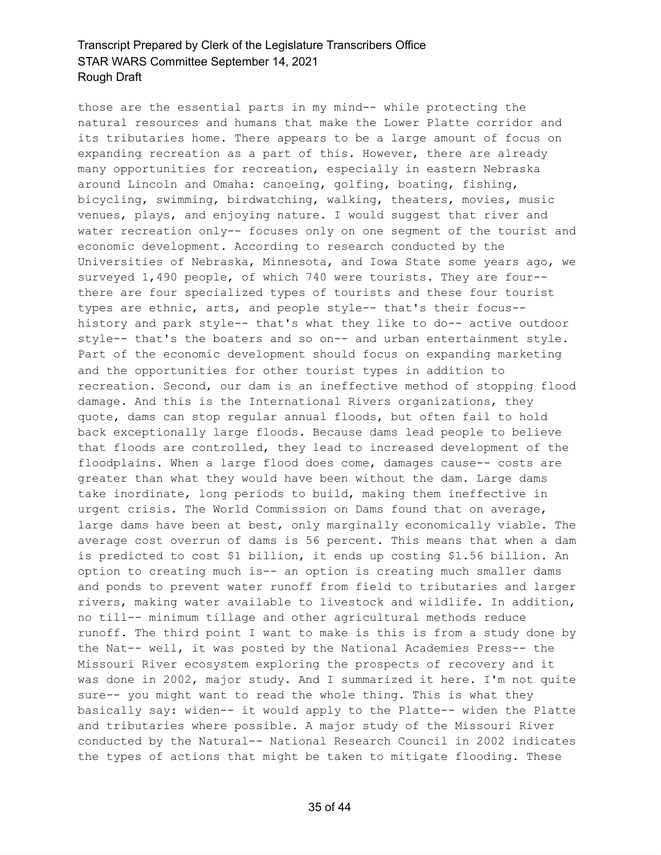those are the essential parts in my mind-- while protecting the natural resources and humans that make the Lower Platte corridor and its tributaries home. There appears to be a large amount of focus on expanding recreation as a part of this. However, there are already many opportunities for recreation, especially in eastern Nebraska around Lincoln and Omaha: canoeing, golfing, boating, fishing, bicycling, swimming, birdwatching, walking, theaters, movies, music venues, plays, and enjoying nature. I would suggest that river and water recreation only-- focuses only on one segment of the tourist and economic development. According to research conducted by the Universities of Nebraska, Minnesota, and Iowa State some years ago, we surveyed 1,490 people, of which 740 were tourists. They are four- there are four specialized types of tourists and these four tourist types are ethnic, arts, and people style-- that's their focus- history and park style-- that's what they like to do-- active outdoor style-- that's the boaters and so on-- and urban entertainment style. Part of the economic development should focus on expanding marketing and the opportunities for other tourist types in addition to recreation. Second, our dam is an ineffective method of stopping flood damage. And this is the International Rivers organizations, they quote, dams can stop regular annual floods, but often fail to hold back exceptionally large floods. Because dams lead people to believe that floods are controlled, they lead to increased development of the floodplains. When a large flood does come, damages cause-- costs are greater than what they would have been without the dam. Large dams take inordinate, long periods to build, making them ineffective in urgent crisis. The World Commission on Dams found that on average, large dams have been at best, only marginally economically viable. The average cost overrun of dams is 56 percent. This means that when a dam is predicted to cost \$1 billion, it ends up costing \$1.56 billion. An option to creating much is-- an option is creating much smaller dams and ponds to prevent water runoff from field to tributaries and larger rivers, making water available to livestock and wildlife. In addition, no till-- minimum tillage and other agricultural methods reduce runoff. The third point I want to make is this is from a study done by the Nat-- well, it was posted by the National Academies Press-- the Missouri River ecosystem exploring the prospects of recovery and it was done in 2002, major study. And I summarized it here. I'm not quite sure-- you might want to read the whole thing. This is what they basically say: widen-- it would apply to the Platte-- widen the Platte and tributaries where possible. A major study of the Missouri River conducted by the Natural-- National Research Council in 2002 indicates the types of actions that might be taken to mitigate flooding. These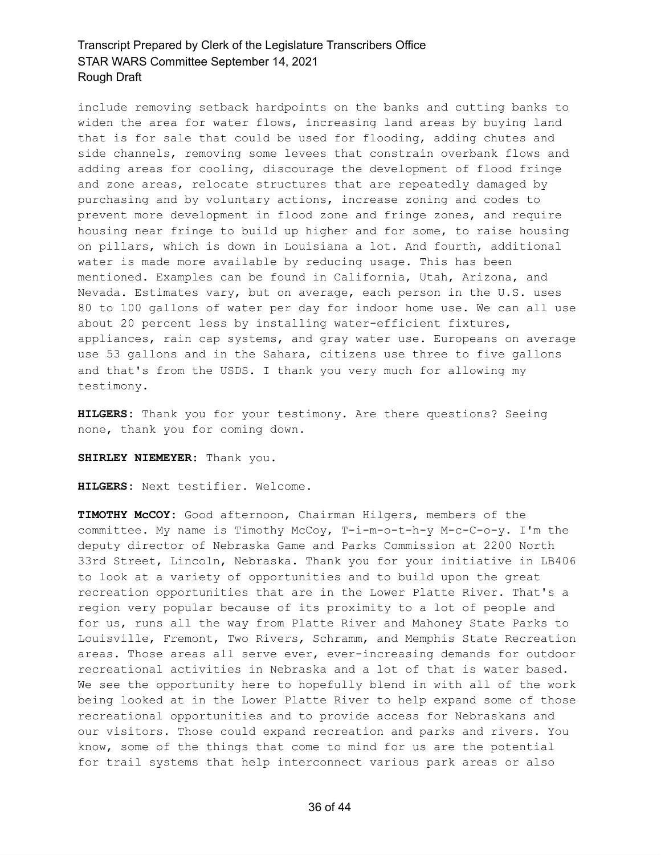include removing setback hardpoints on the banks and cutting banks to widen the area for water flows, increasing land areas by buying land that is for sale that could be used for flooding, adding chutes and side channels, removing some levees that constrain overbank flows and adding areas for cooling, discourage the development of flood fringe and zone areas, relocate structures that are repeatedly damaged by purchasing and by voluntary actions, increase zoning and codes to prevent more development in flood zone and fringe zones, and require housing near fringe to build up higher and for some, to raise housing on pillars, which is down in Louisiana a lot. And fourth, additional water is made more available by reducing usage. This has been mentioned. Examples can be found in California, Utah, Arizona, and Nevada. Estimates vary, but on average, each person in the U.S. uses 80 to 100 gallons of water per day for indoor home use. We can all use about 20 percent less by installing water-efficient fixtures, appliances, rain cap systems, and gray water use. Europeans on average use 53 gallons and in the Sahara, citizens use three to five gallons and that's from the USDS. I thank you very much for allowing my testimony.

**HILGERS:** Thank you for your testimony. Are there questions? Seeing none, thank you for coming down.

#### **SHIRLEY NIEMEYER:** Thank you.

**HILGERS:** Next testifier. Welcome.

**TIMOTHY McCOY:** Good afternoon, Chairman Hilgers, members of the committee. My name is Timothy McCoy, T-i-m-o-t-h-y M-c-C-o-y. I'm the deputy director of Nebraska Game and Parks Commission at 2200 North 33rd Street, Lincoln, Nebraska. Thank you for your initiative in LB406 to look at a variety of opportunities and to build upon the great recreation opportunities that are in the Lower Platte River. That's a region very popular because of its proximity to a lot of people and for us, runs all the way from Platte River and Mahoney State Parks to Louisville, Fremont, Two Rivers, Schramm, and Memphis State Recreation areas. Those areas all serve ever, ever-increasing demands for outdoor recreational activities in Nebraska and a lot of that is water based. We see the opportunity here to hopefully blend in with all of the work being looked at in the Lower Platte River to help expand some of those recreational opportunities and to provide access for Nebraskans and our visitors. Those could expand recreation and parks and rivers. You know, some of the things that come to mind for us are the potential for trail systems that help interconnect various park areas or also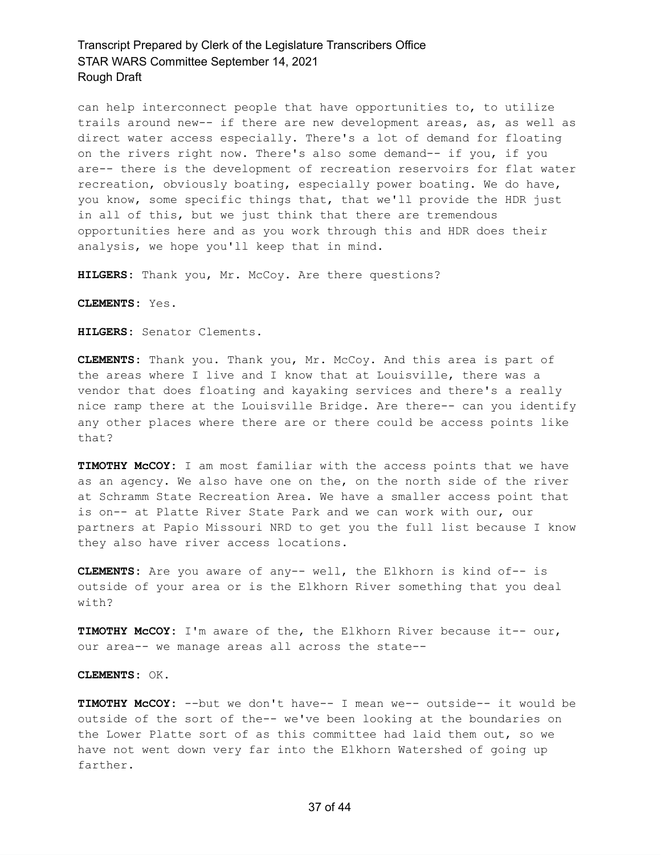can help interconnect people that have opportunities to, to utilize trails around new-- if there are new development areas, as, as well as direct water access especially. There's a lot of demand for floating on the rivers right now. There's also some demand-- if you, if you are-- there is the development of recreation reservoirs for flat water recreation, obviously boating, especially power boating. We do have, you know, some specific things that, that we'll provide the HDR just in all of this, but we just think that there are tremendous opportunities here and as you work through this and HDR does their analysis, we hope you'll keep that in mind.

**HILGERS:** Thank you, Mr. McCoy. Are there questions?

**CLEMENTS:** Yes.

**HILGERS:** Senator Clements.

**CLEMENTS:** Thank you. Thank you, Mr. McCoy. And this area is part of the areas where I live and I know that at Louisville, there was a vendor that does floating and kayaking services and there's a really nice ramp there at the Louisville Bridge. Are there-- can you identify any other places where there are or there could be access points like that?

**TIMOTHY McCOY:** I am most familiar with the access points that we have as an agency. We also have one on the, on the north side of the river at Schramm State Recreation Area. We have a smaller access point that is on-- at Platte River State Park and we can work with our, our partners at Papio Missouri NRD to get you the full list because I know they also have river access locations.

**CLEMENTS:** Are you aware of any-- well, the Elkhorn is kind of-- is outside of your area or is the Elkhorn River something that you deal with?

**TIMOTHY McCOY:** I'm aware of the, the Elkhorn River because it-- our, our area-- we manage areas all across the state--

**CLEMENTS:** OK.

**TIMOTHY McCOY:** --but we don't have-- I mean we-- outside-- it would be outside of the sort of the-- we've been looking at the boundaries on the Lower Platte sort of as this committee had laid them out, so we have not went down very far into the Elkhorn Watershed of going up farther.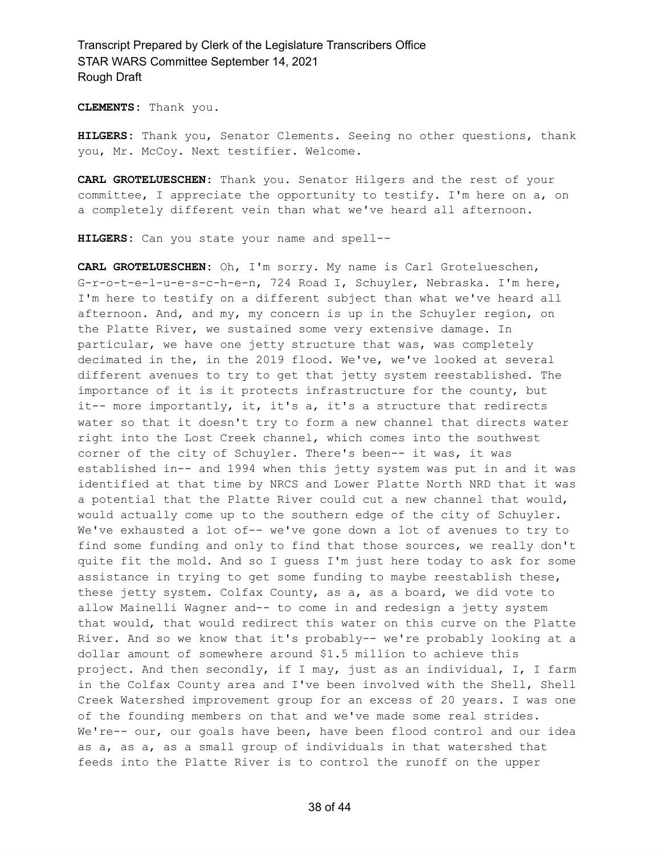**CLEMENTS:** Thank you.

**HILGERS:** Thank you, Senator Clements. Seeing no other questions, thank you, Mr. McCoy. Next testifier. Welcome.

**CARL GROTELUESCHEN:** Thank you. Senator Hilgers and the rest of your committee, I appreciate the opportunity to testify. I'm here on a, on a completely different vein than what we've heard all afternoon.

**HILGERS:** Can you state your name and spell--

**CARL GROTELUESCHEN:** Oh, I'm sorry. My name is Carl Grotelueschen, G-r-o-t-e-l-u-e-s-c-h-e-n, 724 Road I, Schuyler, Nebraska. I'm here, I'm here to testify on a different subject than what we've heard all afternoon. And, and my, my concern is up in the Schuyler region, on the Platte River, we sustained some very extensive damage. In particular, we have one jetty structure that was, was completely decimated in the, in the 2019 flood. We've, we've looked at several different avenues to try to get that jetty system reestablished. The importance of it is it protects infrastructure for the county, but it-- more importantly, it, it's a, it's a structure that redirects water so that it doesn't try to form a new channel that directs water right into the Lost Creek channel, which comes into the southwest corner of the city of Schuyler. There's been-- it was, it was established in-- and 1994 when this jetty system was put in and it was identified at that time by NRCS and Lower Platte North NRD that it was a potential that the Platte River could cut a new channel that would, would actually come up to the southern edge of the city of Schuyler. We've exhausted a lot of-- we've gone down a lot of avenues to try to find some funding and only to find that those sources, we really don't quite fit the mold. And so I guess I'm just here today to ask for some assistance in trying to get some funding to maybe reestablish these, these jetty system. Colfax County, as a, as a board, we did vote to allow Mainelli Wagner and-- to come in and redesign a jetty system that would, that would redirect this water on this curve on the Platte River. And so we know that it's probably-- we're probably looking at a dollar amount of somewhere around \$1.5 million to achieve this project. And then secondly, if I may, just as an individual, I, I farm in the Colfax County area and I've been involved with the Shell, Shell Creek Watershed improvement group for an excess of 20 years. I was one of the founding members on that and we've made some real strides. We're-- our, our goals have been, have been flood control and our idea as a, as a, as a small group of individuals in that watershed that feeds into the Platte River is to control the runoff on the upper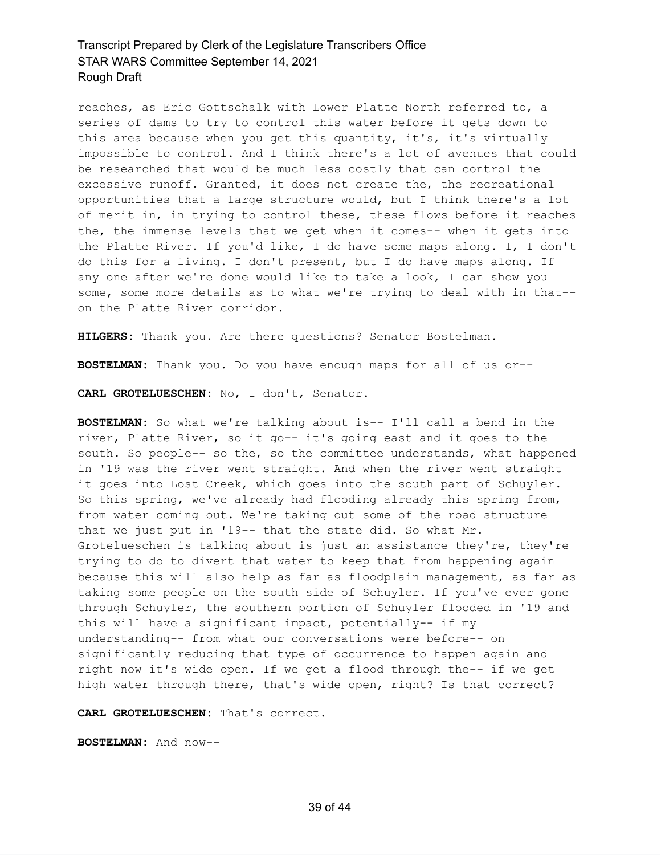reaches, as Eric Gottschalk with Lower Platte North referred to, a series of dams to try to control this water before it gets down to this area because when you get this quantity, it's, it's virtually impossible to control. And I think there's a lot of avenues that could be researched that would be much less costly that can control the excessive runoff. Granted, it does not create the, the recreational opportunities that a large structure would, but I think there's a lot of merit in, in trying to control these, these flows before it reaches the, the immense levels that we get when it comes-- when it gets into the Platte River. If you'd like, I do have some maps along. I, I don't do this for a living. I don't present, but I do have maps along. If any one after we're done would like to take a look, I can show you some, some more details as to what we're trying to deal with in that- on the Platte River corridor.

**HILGERS:** Thank you. Are there questions? Senator Bostelman.

**BOSTELMAN:** Thank you. Do you have enough maps for all of us or--

**CARL GROTELUESCHEN:** No, I don't, Senator.

**BOSTELMAN:** So what we're talking about is-- I'll call a bend in the river, Platte River, so it go-- it's going east and it goes to the south. So people-- so the, so the committee understands, what happened in '19 was the river went straight. And when the river went straight it goes into Lost Creek, which goes into the south part of Schuyler. So this spring, we've already had flooding already this spring from, from water coming out. We're taking out some of the road structure that we just put in '19-- that the state did. So what Mr. Grotelueschen is talking about is just an assistance they're, they're trying to do to divert that water to keep that from happening again because this will also help as far as floodplain management, as far as taking some people on the south side of Schuyler. If you've ever gone through Schuyler, the southern portion of Schuyler flooded in '19 and this will have a significant impact, potentially-- if my understanding-- from what our conversations were before-- on significantly reducing that type of occurrence to happen again and right now it's wide open. If we get a flood through the-- if we get high water through there, that's wide open, right? Is that correct?

**CARL GROTELUESCHEN:** That's correct.

**BOSTELMAN:** And now--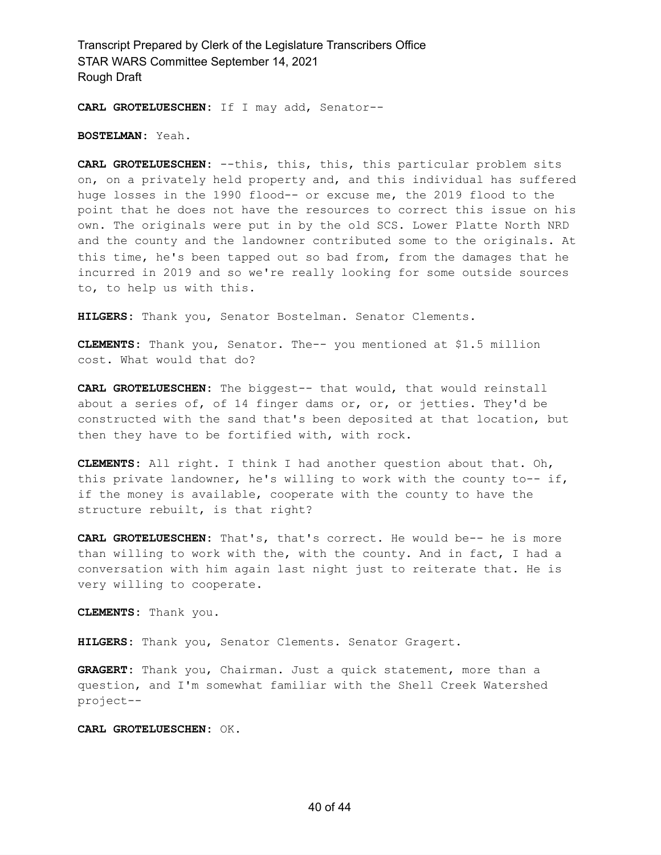**CARL GROTELUESCHEN:** If I may add, Senator--

**BOSTELMAN:** Yeah.

**CARL GROTELUESCHEN:** --this, this, this, this particular problem sits on, on a privately held property and, and this individual has suffered huge losses in the 1990 flood-- or excuse me, the 2019 flood to the point that he does not have the resources to correct this issue on his own. The originals were put in by the old SCS. Lower Platte North NRD and the county and the landowner contributed some to the originals. At this time, he's been tapped out so bad from, from the damages that he incurred in 2019 and so we're really looking for some outside sources to, to help us with this.

**HILGERS:** Thank you, Senator Bostelman. Senator Clements.

**CLEMENTS:** Thank you, Senator. The-- you mentioned at \$1.5 million cost. What would that do?

**CARL GROTELUESCHEN:** The biggest-- that would, that would reinstall about a series of, of 14 finger dams or, or, or jetties. They'd be constructed with the sand that's been deposited at that location, but then they have to be fortified with, with rock.

**CLEMENTS:** All right. I think I had another question about that. Oh, this private landowner, he's willing to work with the county to-- if, if the money is available, cooperate with the county to have the structure rebuilt, is that right?

**CARL GROTELUESCHEN:** That's, that's correct. He would be-- he is more than willing to work with the, with the county. And in fact, I had a conversation with him again last night just to reiterate that. He is very willing to cooperate.

**CLEMENTS:** Thank you.

**HILGERS:** Thank you, Senator Clements. Senator Gragert.

**GRAGERT:** Thank you, Chairman. Just a quick statement, more than a question, and I'm somewhat familiar with the Shell Creek Watershed project--

**CARL GROTELUESCHEN:** OK.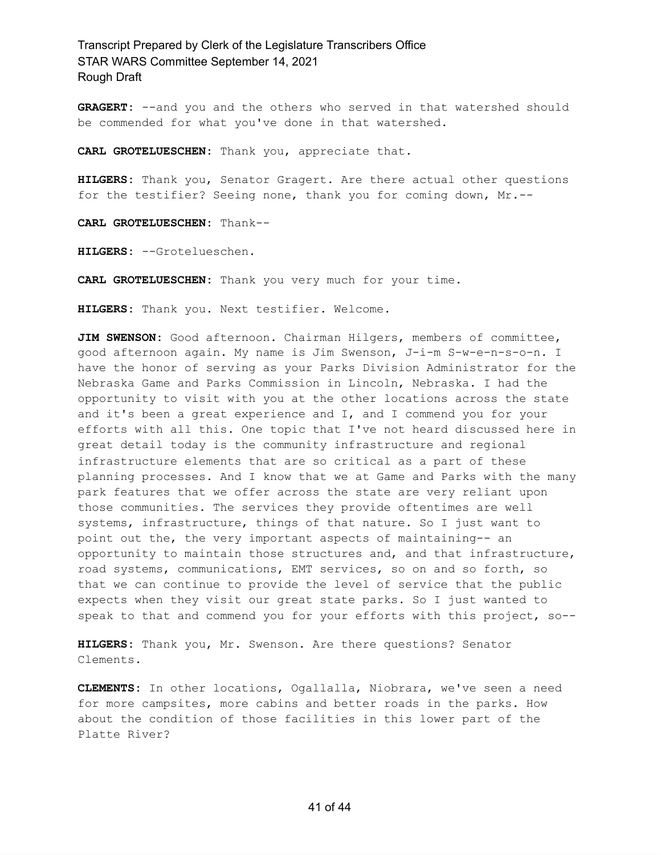GRAGERT: --and you and the others who served in that watershed should be commended for what you've done in that watershed.

**CARL GROTELUESCHEN:** Thank you, appreciate that.

**HILGERS:** Thank you, Senator Gragert. Are there actual other questions for the testifier? Seeing none, thank you for coming down, Mr.--

**CARL GROTELUESCHEN:** Thank--

**HILGERS:** --Grotelueschen.

**CARL GROTELUESCHEN:** Thank you very much for your time.

**HILGERS:** Thank you. Next testifier. Welcome.

**JIM SWENSON:** Good afternoon. Chairman Hilgers, members of committee, good afternoon again. My name is Jim Swenson, J-i-m S-w-e-n-s-o-n. I have the honor of serving as your Parks Division Administrator for the Nebraska Game and Parks Commission in Lincoln, Nebraska. I had the opportunity to visit with you at the other locations across the state and it's been a great experience and I, and I commend you for your efforts with all this. One topic that I've not heard discussed here in great detail today is the community infrastructure and regional infrastructure elements that are so critical as a part of these planning processes. And I know that we at Game and Parks with the many park features that we offer across the state are very reliant upon those communities. The services they provide oftentimes are well systems, infrastructure, things of that nature. So I just want to point out the, the very important aspects of maintaining-- an opportunity to maintain those structures and, and that infrastructure, road systems, communications, EMT services, so on and so forth, so that we can continue to provide the level of service that the public expects when they visit our great state parks. So I just wanted to speak to that and commend you for your efforts with this project, so--

**HILGERS:** Thank you, Mr. Swenson. Are there questions? Senator Clements.

**CLEMENTS:** In other locations, Ogallalla, Niobrara, we've seen a need for more campsites, more cabins and better roads in the parks. How about the condition of those facilities in this lower part of the Platte River?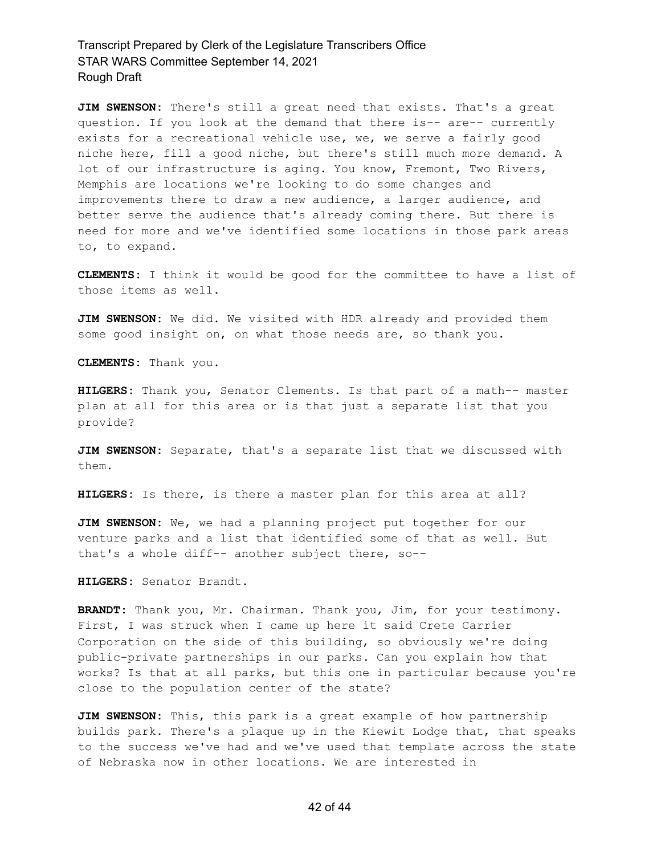**JIM SWENSON:** There's still a great need that exists. That's a great question. If you look at the demand that there is-- are-- currently exists for a recreational vehicle use, we, we serve a fairly good niche here, fill a good niche, but there's still much more demand. A lot of our infrastructure is aging. You know, Fremont, Two Rivers, Memphis are locations we're looking to do some changes and improvements there to draw a new audience, a larger audience, and better serve the audience that's already coming there. But there is need for more and we've identified some locations in those park areas to, to expand.

**CLEMENTS:** I think it would be good for the committee to have a list of those items as well.

**JIM SWENSON:** We did. We visited with HDR already and provided them some good insight on, on what those needs are, so thank you.

**CLEMENTS:** Thank you.

**HILGERS:** Thank you, Senator Clements. Is that part of a math-- master plan at all for this area or is that just a separate list that you provide?

**JIM SWENSON:** Separate, that's a separate list that we discussed with them.

**HILGERS:** Is there, is there a master plan for this area at all?

**JIM SWENSON:** We, we had a planning project put together for our venture parks and a list that identified some of that as well. But that's a whole diff-- another subject there, so--

**HILGERS:** Senator Brandt.

**BRANDT:** Thank you, Mr. Chairman. Thank you, Jim, for your testimony. First, I was struck when I came up here it said Crete Carrier Corporation on the side of this building, so obviously we're doing public-private partnerships in our parks. Can you explain how that works? Is that at all parks, but this one in particular because you're close to the population center of the state?

**JIM SWENSON:** This, this park is a great example of how partnership builds park. There's a plaque up in the Kiewit Lodge that, that speaks to the success we've had and we've used that template across the state of Nebraska now in other locations. We are interested in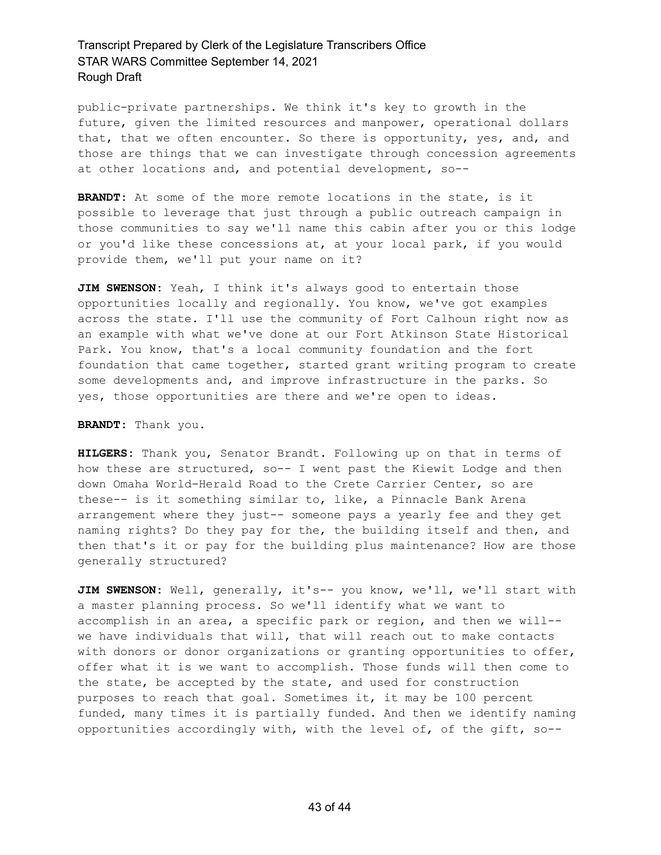public-private partnerships. We think it's key to growth in the future, given the limited resources and manpower, operational dollars that, that we often encounter. So there is opportunity, yes, and, and those are things that we can investigate through concession agreements at other locations and, and potential development, so--

**BRANDT:** At some of the more remote locations in the state, is it possible to leverage that just through a public outreach campaign in those communities to say we'll name this cabin after you or this lodge or you'd like these concessions at, at your local park, if you would provide them, we'll put your name on it?

**JIM SWENSON:** Yeah, I think it's always good to entertain those opportunities locally and regionally. You know, we've got examples across the state. I'll use the community of Fort Calhoun right now as an example with what we've done at our Fort Atkinson State Historical Park. You know, that's a local community foundation and the fort foundation that came together, started grant writing program to create some developments and, and improve infrastructure in the parks. So yes, those opportunities are there and we're open to ideas.

**BRANDT:** Thank you.

**HILGERS:** Thank you, Senator Brandt. Following up on that in terms of how these are structured, so-- I went past the Kiewit Lodge and then down Omaha World-Herald Road to the Crete Carrier Center, so are these-- is it something similar to, like, a Pinnacle Bank Arena arrangement where they just-- someone pays a yearly fee and they get naming rights? Do they pay for the, the building itself and then, and then that's it or pay for the building plus maintenance? How are those generally structured?

**JIM SWENSON:** Well, generally, it's-- you know, we'll, we'll start with a master planning process. So we'll identify what we want to accomplish in an area, a specific park or region, and then we will- we have individuals that will, that will reach out to make contacts with donors or donor organizations or granting opportunities to offer, offer what it is we want to accomplish. Those funds will then come to the state, be accepted by the state, and used for construction purposes to reach that goal. Sometimes it, it may be 100 percent funded, many times it is partially funded. And then we identify naming opportunities accordingly with, with the level of, of the gift, so--